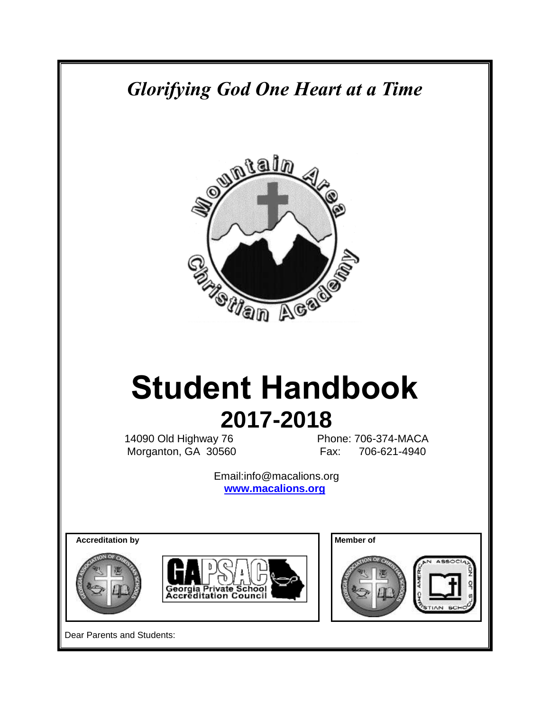# *Glorifying God One Heart at a Time*



# **Student Handbook 2017-2018**

14090 Old Highway 76 Phone: 706-374-MACA Morganton, GA 30560 Fax: 706-621-4940

> Email:info@macalions.org **[www.macalions.org](http://www.macalions.org/)**

**Accreditation by Accreditation by Accreditation by Accreditation by Accreditation by Accreditation by Accreditation by Accreditation by Accreditation by Accreditation by Accreditation by Accreditation by Accreditation by** 









Dear Parents and Students: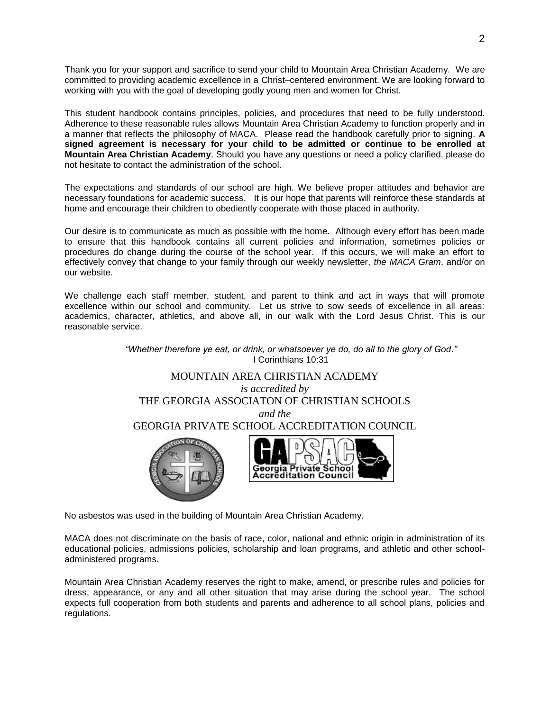Thank you for your support and sacrifice to send your child to Mountain Area Christian Academy. We are committed to providing academic excellence in a Christ–centered environment. We are looking forward to working with you with the goal of developing godly young men and women for Christ.

This student handbook contains principles, policies, and procedures that need to be fully understood. Adherence to these reasonable rules allows Mountain Area Christian Academy to function properly and in a manner that reflects the philosophy of MACA. Please read the handbook carefully prior to signing. **A signed agreement is necessary for your child to be admitted or continue to be enrolled at Mountain Area Christian Academy**. Should you have any questions or need a policy clarified, please do not hesitate to contact the administration of the school.

The expectations and standards of our school are high. We believe proper attitudes and behavior are necessary foundations for academic success. It is our hope that parents will reinforce these standards at home and encourage their children to obediently cooperate with those placed in authority.

Our desire is to communicate as much as possible with the home. Although every effort has been made to ensure that this handbook contains all current policies and information, sometimes policies or procedures do change during the course of the school year. If this occurs, we will make an effort to effectively convey that change to your family through our weekly newsletter, *the MACA Gram*, and/or on our website.

We challenge each staff member, student, and parent to think and act in ways that will promote excellence within our school and community. Let us strive to sow seeds of excellence in all areas: academics, character, athletics, and above all, in our walk with the Lord Jesus Christ. This is our reasonable service.



No asbestos was used in the building of Mountain Area Christian Academy.

MACA does not discriminate on the basis of race, color, national and ethnic origin in administration of its educational policies, admissions policies, scholarship and loan programs, and athletic and other schooladministered programs.

Mountain Area Christian Academy reserves the right to make, amend, or prescribe rules and policies for dress, appearance, or any and all other situation that may arise during the school year. The school expects full cooperation from both students and parents and adherence to all school plans, policies and regulations.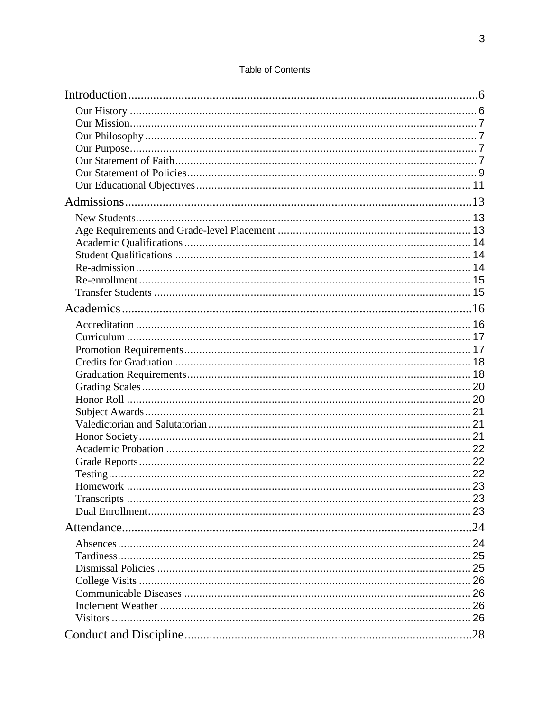### **Table of Contents**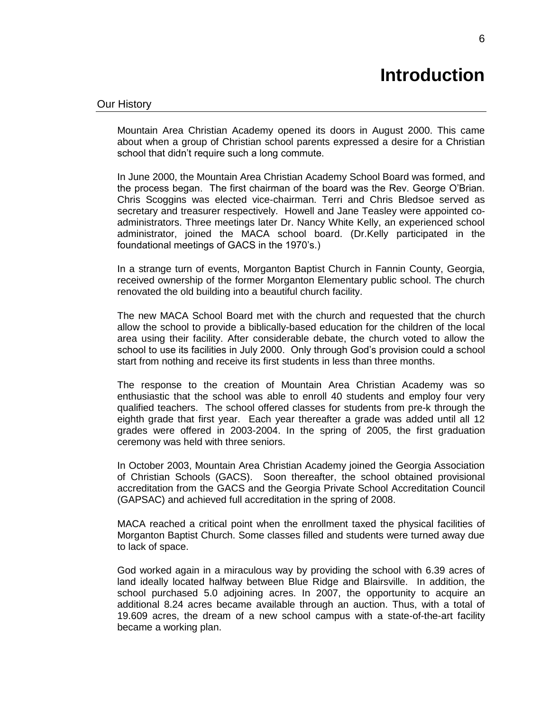# **Introduction**

<span id="page-5-1"></span><span id="page-5-0"></span>Mountain Area Christian Academy opened its doors in August 2000. This came about when a group of Christian school parents expressed a desire for a Christian school that didn't require such a long commute.

In June 2000, the Mountain Area Christian Academy School Board was formed, and the process began. The first chairman of the board was the Rev. George O'Brian. Chris Scoggins was elected vice-chairman. Terri and Chris Bledsoe served as secretary and treasurer respectively. Howell and Jane Teasley were appointed coadministrators. Three meetings later Dr. Nancy White Kelly, an experienced school administrator, joined the MACA school board. (Dr.Kelly participated in the foundational meetings of GACS in the 1970's.)

In a strange turn of events, Morganton Baptist Church in Fannin County, Georgia, received ownership of the former Morganton Elementary public school. The church renovated the old building into a beautiful church facility.

The new MACA School Board met with the church and requested that the church allow the school to provide a biblically-based education for the children of the local area using their facility. After considerable debate, the church voted to allow the school to use its facilities in July 2000. Only through God's provision could a school start from nothing and receive its first students in less than three months.

The response to the creation of Mountain Area Christian Academy was so enthusiastic that the school was able to enroll 40 students and employ four very qualified teachers. The school offered classes for students from pre-k through the eighth grade that first year. Each year thereafter a grade was added until all 12 grades were offered in 2003-2004. In the spring of 2005, the first graduation ceremony was held with three seniors.

In October 2003, Mountain Area Christian Academy joined the Georgia Association of Christian Schools (GACS). Soon thereafter, the school obtained provisional accreditation from the GACS and the Georgia Private School Accreditation Council (GAPSAC) and achieved full accreditation in the spring of 2008.

MACA reached a critical point when the enrollment taxed the physical facilities of Morganton Baptist Church. Some classes filled and students were turned away due to lack of space.

God worked again in a miraculous way by providing the school with 6.39 acres of land ideally located halfway between Blue Ridge and Blairsville. In addition, the school purchased 5.0 adjoining acres. In 2007, the opportunity to acquire an additional 8.24 acres became available through an auction. Thus, with a total of 19.609 acres, the dream of a new school campus with a state-of-the-art facility became a working plan.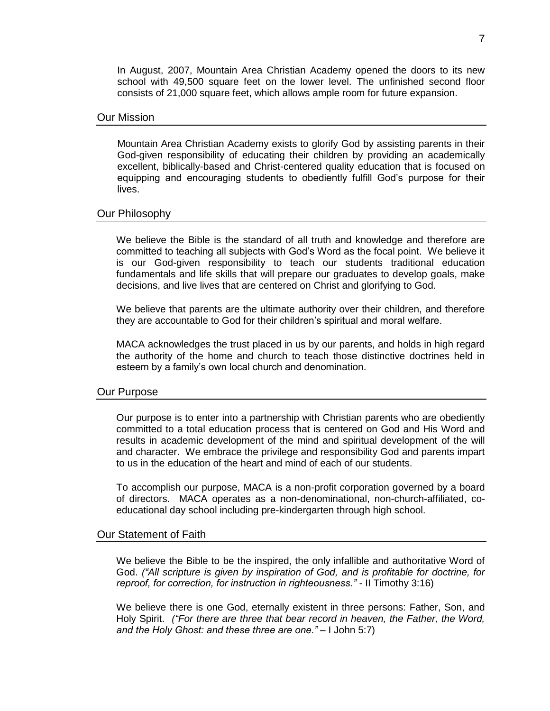In August, 2007, Mountain Area Christian Academy opened the doors to its new school with 49,500 square feet on the lower level. The unfinished second floor consists of 21,000 square feet, which allows ample room for future expansion.

### <span id="page-6-0"></span>Our Mission

Mountain Area Christian Academy exists to glorify God by assisting parents in their God-given responsibility of educating their children by providing an academically excellent, biblically-based and Christ-centered quality education that is focused on equipping and encouraging students to obediently fulfill God's purpose for their lives.

### <span id="page-6-1"></span>Our Philosophy

We believe the Bible is the standard of all truth and knowledge and therefore are committed to teaching all subjects with God's Word as the focal point. We believe it is our God-given responsibility to teach our students traditional education fundamentals and life skills that will prepare our graduates to develop goals, make decisions, and live lives that are centered on Christ and glorifying to God.

We believe that parents are the ultimate authority over their children, and therefore they are accountable to God for their children's spiritual and moral welfare.

MACA acknowledges the trust placed in us by our parents, and holds in high regard the authority of the home and church to teach those distinctive doctrines held in esteem by a family's own local church and denomination.

### <span id="page-6-2"></span>Our Purpose

Our purpose is to enter into a partnership with Christian parents who are obediently committed to a total education process that is centered on God and His Word and results in academic development of the mind and spiritual development of the will and character. We embrace the privilege and responsibility God and parents impart to us in the education of the heart and mind of each of our students.

To accomplish our purpose, MACA is a non-profit corporation governed by a board of directors. MACA operates as a non-denominational, non-church-affiliated, coeducational day school including pre-kindergarten through high school.

### <span id="page-6-3"></span>Our Statement of Faith

We believe the Bible to be the inspired, the only infallible and authoritative Word of God. *("All scripture is given by inspiration of God, and is profitable for doctrine, for reproof, for correction, for instruction in righteousness." -* II Timothy 3:16)

We believe there is one God, eternally existent in three persons: Father, Son, and Holy Spirit. *("For there are three that bear record in heaven, the Father, the Word, and the Holy Ghost: and these three are one." –* I John 5:7)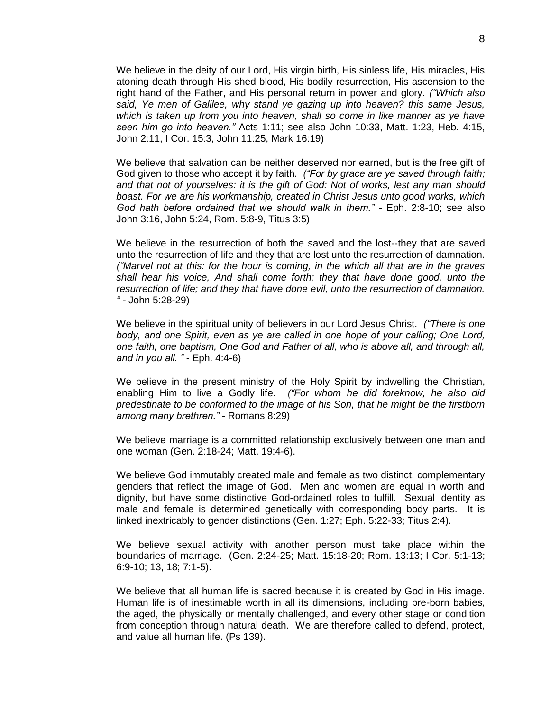We believe in the deity of our Lord, His virgin birth, His sinless life, His miracles, His atoning death through His shed blood, His bodily resurrection, His ascension to the right hand of the Father, and His personal return in power and glory. *("Which also said, Ye men of Galilee, why stand ye gazing up into heaven? this same Jesus, which is taken up from you into heaven, shall so come in like manner as ye have seen him go into heaven."* Acts 1:11; see also John 10:33, Matt. 1:23, Heb. 4:15, John 2:11, I Cor. 15:3, John 11:25, Mark 16:19)

We believe that salvation can be neither deserved nor earned, but is the free gift of God given to those who accept it by faith. *("For by grace are ye saved through faith; and that not of yourselves: it is the gift of God: Not of works, lest any man should boast. For we are his workmanship, created in Christ Jesus unto good works, which God hath before ordained that we should walk in them." -* Eph. 2:8-10; see also John 3:16, John 5:24, Rom. 5:8-9, Titus 3:5)

We believe in the resurrection of both the saved and the lost--they that are saved unto the resurrection of life and they that are lost unto the resurrection of damnation. *("Marvel not at this: for the hour is coming, in the which all that are in the graves shall hear his voice, And shall come forth; they that have done good, unto the resurrection of life; and they that have done evil, unto the resurrection of damnation. " -* John 5:28-29)

We believe in the spiritual unity of believers in our Lord Jesus Christ. *("There is one body, and one Spirit, even as ye are called in one hope of your calling; One Lord, one faith, one baptism, One God and Father of all, who is above all, and through all, and in you all. "* - Eph. 4:4-6)

We believe in the present ministry of the Holy Spirit by indwelling the Christian, enabling Him to live a Godly life. *("For whom he did foreknow, he also did predestinate to be conformed to the image of his Son, that he might be the firstborn among many brethren." -* Romans 8:29)

We believe marriage is a committed relationship exclusively between one man and one woman (Gen. 2:18-24; Matt. 19:4-6).

We believe God immutably created male and female as two distinct, complementary genders that reflect the image of God. Men and women are equal in worth and dignity, but have some distinctive God-ordained roles to fulfill. Sexual identity as male and female is determined genetically with corresponding body parts. It is linked inextricably to gender distinctions (Gen. 1:27; Eph. 5:22-33; Titus 2:4).

We believe sexual activity with another person must take place within the boundaries of marriage. (Gen. 2:24-25; Matt. 15:18-20; Rom. 13:13; I Cor. 5:1-13; 6:9-10; 13, 18; 7:1-5).

We believe that all human life is sacred because it is created by God in His image. Human life is of inestimable worth in all its dimensions, including pre-born babies, the aged, the physically or mentally challenged, and every other stage or condition from conception through natural death. We are therefore called to defend, protect, and value all human life. (Ps 139).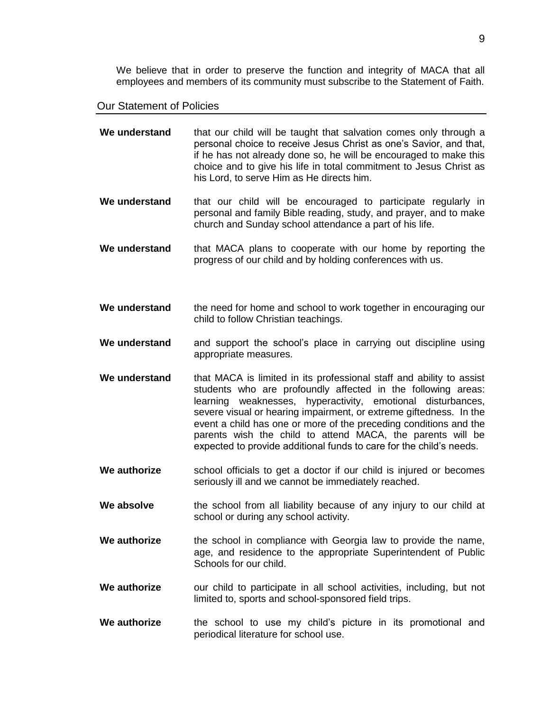We believe that in order to preserve the function and integrity of MACA that all employees and members of its community must subscribe to the Statement of Faith.

### <span id="page-8-0"></span>Our Statement of Policies

| We understand | that our child will be taught that salvation comes only through a<br>personal choice to receive Jesus Christ as one's Savior, and that,<br>if he has not already done so, he will be encouraged to make this<br>choice and to give his life in total commitment to Jesus Christ as<br>his Lord, to serve Him as He directs him.                                                                                                                                                     |
|---------------|-------------------------------------------------------------------------------------------------------------------------------------------------------------------------------------------------------------------------------------------------------------------------------------------------------------------------------------------------------------------------------------------------------------------------------------------------------------------------------------|
| We understand | that our child will be encouraged to participate regularly in<br>personal and family Bible reading, study, and prayer, and to make<br>church and Sunday school attendance a part of his life.                                                                                                                                                                                                                                                                                       |
| We understand | that MACA plans to cooperate with our home by reporting the<br>progress of our child and by holding conferences with us.                                                                                                                                                                                                                                                                                                                                                            |
| We understand | the need for home and school to work together in encouraging our<br>child to follow Christian teachings.                                                                                                                                                                                                                                                                                                                                                                            |
| We understand | and support the school's place in carrying out discipline using<br>appropriate measures.                                                                                                                                                                                                                                                                                                                                                                                            |
| We understand | that MACA is limited in its professional staff and ability to assist<br>students who are profoundly affected in the following areas:<br>learning weaknesses, hyperactivity, emotional disturbances,<br>severe visual or hearing impairment, or extreme giftedness. In the<br>event a child has one or more of the preceding conditions and the<br>parents wish the child to attend MACA, the parents will be<br>expected to provide additional funds to care for the child's needs. |
| We authorize  | school officials to get a doctor if our child is injured or becomes<br>seriously ill and we cannot be immediately reached.                                                                                                                                                                                                                                                                                                                                                          |
| We absolve    | the school from all liability because of any injury to our child at<br>school or during any school activity.                                                                                                                                                                                                                                                                                                                                                                        |
| We authorize  | the school in compliance with Georgia law to provide the name,<br>age, and residence to the appropriate Superintendent of Public<br>Schools for our child.                                                                                                                                                                                                                                                                                                                          |
| We authorize  | our child to participate in all school activities, including, but not<br>limited to, sports and school-sponsored field trips.                                                                                                                                                                                                                                                                                                                                                       |
| We authorize  | the school to use my child's picture in its promotional and<br>periodical literature for school use.                                                                                                                                                                                                                                                                                                                                                                                |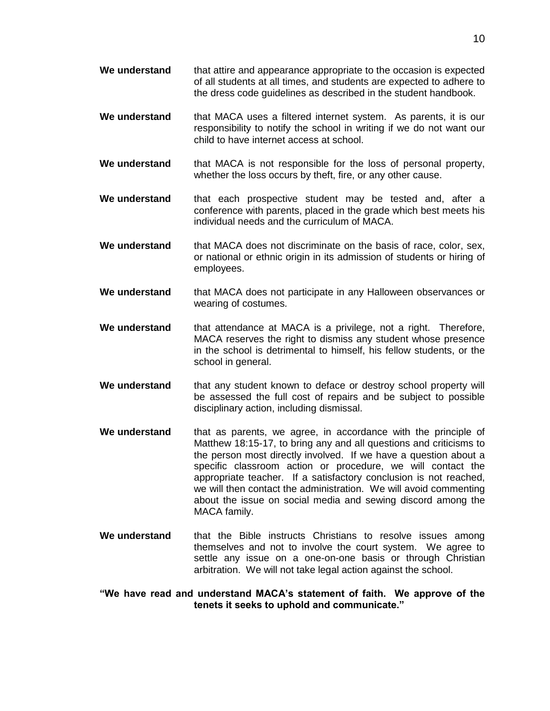- **We understand** that attire and appearance appropriate to the occasion is expected of all students at all times, and students are expected to adhere to the dress code guidelines as described in the student handbook.
- **We understand** that MACA uses a filtered internet system. As parents, it is our responsibility to notify the school in writing if we do not want our child to have internet access at school.
- **We understand** that MACA is not responsible for the loss of personal property, whether the loss occurs by theft, fire, or any other cause.
- **We understand** that each prospective student may be tested and, after a conference with parents, placed in the grade which best meets his individual needs and the curriculum of MACA.
- **We understand** that MACA does not discriminate on the basis of race, color, sex, or national or ethnic origin in its admission of students or hiring of employees.
- **We understand** that MACA does not participate in any Halloween observances or wearing of costumes.
- **We understand** that attendance at MACA is a privilege, not a right. Therefore, MACA reserves the right to dismiss any student whose presence in the school is detrimental to himself, his fellow students, or the school in general.
- We understand that any student known to deface or destroy school property will be assessed the full cost of repairs and be subject to possible disciplinary action, including dismissal.
- **We understand** that as parents, we agree, in accordance with the principle of Matthew 18:15-17, to bring any and all questions and criticisms to the person most directly involved. If we have a question about a specific classroom action or procedure, we will contact the appropriate teacher. If a satisfactory conclusion is not reached, we will then contact the administration. We will avoid commenting about the issue on social media and sewing discord among the MACA family.
- **We understand** that the Bible instructs Christians to resolve issues among themselves and not to involve the court system. We agree to settle any issue on a one-on-one basis or through Christian arbitration. We will not take legal action against the school.
- **"We have read and understand MACA's statement of faith. We approve of the tenets it seeks to uphold and communicate."**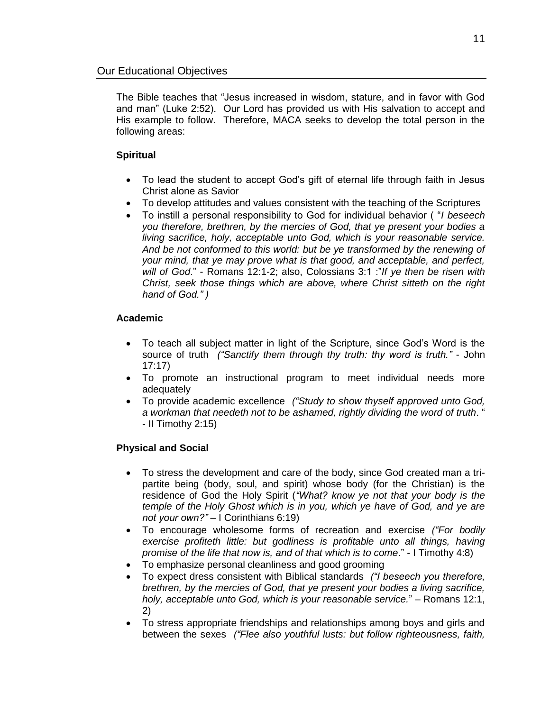<span id="page-10-0"></span>The Bible teaches that "Jesus increased in wisdom, stature, and in favor with God and man" (Luke 2:52). Our Lord has provided us with His salvation to accept and His example to follow. Therefore, MACA seeks to develop the total person in the following areas:

### **Spiritual**

- To lead the student to accept God's gift of eternal life through faith in Jesus Christ alone as Savior
- To develop attitudes and values consistent with the teaching of the Scriptures
- To instill a personal responsibility to God for individual behavior ( "*I beseech you therefore, brethren, by the mercies of God, that ye present your bodies a living sacrifice, holy, acceptable unto God, which is your reasonable service. And be not conformed to this world: but be ye transformed by the renewing of your mind, that ye may prove what is that good, and acceptable, and perfect, will of God*." - Romans 12:1-2; also, Colossians 3:1 :"*If ye then be risen with Christ, seek those things which are above, where Christ sitteth on the right hand of God." )*

### **Academic**

- To teach all subject matter in light of the Scripture, since God's Word is the source of truth *("Sanctify them through thy truth: thy word is truth."* - John 17:17)
- To promote an instructional program to meet individual needs more adequately
- To provide academic excellence *("Study to show thyself approved unto God, a workman that needeth not to be ashamed, rightly dividing the word of truth*. " - II Timothy 2:15)

### **Physical and Social**

- To stress the development and care of the body, since God created man a tripartite being (body, soul, and spirit) whose body (for the Christian) is the residence of God the Holy Spirit (*"What? know ye not that your body is the temple of the Holy Ghost which is in you, which ye have of God, and ye are not your own?"* – I Corinthians 6:19)
- To encourage wholesome forms of recreation and exercise *("For bodily exercise profiteth little: but godliness is profitable unto all things, having promise of the life that now is, and of that which is to come*." - I Timothy 4:8)
- To emphasize personal cleanliness and good grooming
- To expect dress consistent with Biblical standards *("I beseech you therefore, brethren, by the mercies of God, that ye present your bodies a living sacrifice, holy, acceptable unto God, which is your reasonable service.*" – Romans 12:1, 2)
- To stress appropriate friendships and relationships among boys and girls and between the sexes *("Flee also youthful lusts: but follow righteousness, faith,*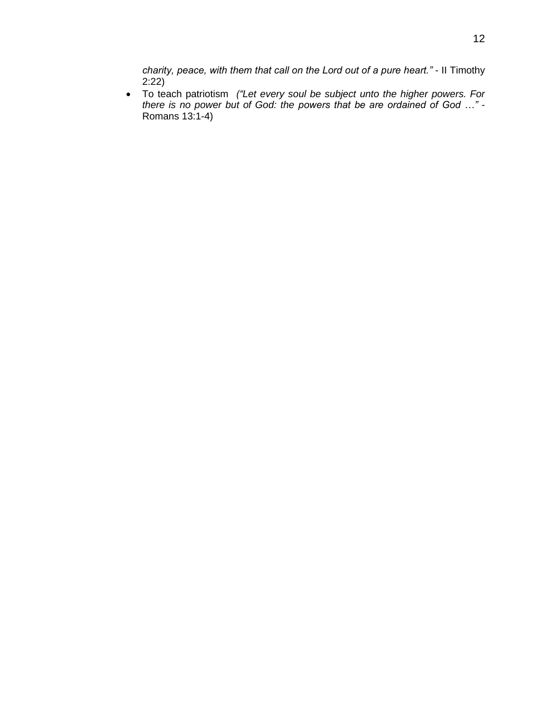*charity, peace, with them that call on the Lord out of a pure heart."* - II Timothy  $2:22$ 

 To teach patriotism *("Let every soul be subject unto the higher powers. For there is no power but of God: the powers that be are ordained of God …"* - Romans 13:1-4)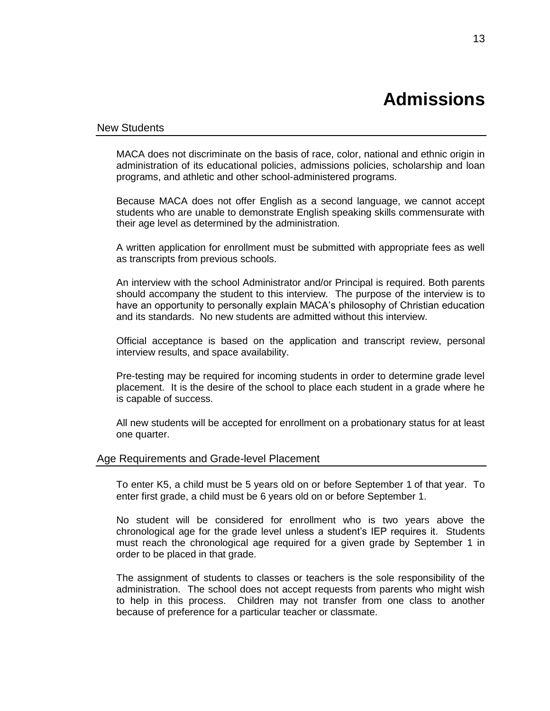# **Admissions**

### <span id="page-12-1"></span><span id="page-12-0"></span>New Students

MACA does not discriminate on the basis of race, color, national and ethnic origin in administration of its educational policies, admissions policies, scholarship and loan programs, and athletic and other school-administered programs.

Because MACA does not offer English as a second language, we cannot accept students who are unable to demonstrate English speaking skills commensurate with their age level as determined by the administration.

A written application for enrollment must be submitted with appropriate fees as well as transcripts from previous schools.

An interview with the school Administrator and/or Principal is required. Both parents should accompany the student to this interview. The purpose of the interview is to have an opportunity to personally explain MACA's philosophy of Christian education and its standards. No new students are admitted without this interview.

Official acceptance is based on the application and transcript review, personal interview results, and space availability.

Pre-testing may be required for incoming students in order to determine grade level placement. It is the desire of the school to place each student in a grade where he is capable of success.

All new students will be accepted for enrollment on a probationary status for at least one quarter.

### <span id="page-12-2"></span>Age Requirements and Grade-level Placement

To enter K5, a child must be 5 years old on or before September 1 of that year. To enter first grade, a child must be 6 years old on or before September 1.

No student will be considered for enrollment who is two years above the chronological age for the grade level unless a student's IEP requires it. Students must reach the chronological age required for a given grade by September 1 in order to be placed in that grade.

The assignment of students to classes or teachers is the sole responsibility of the administration. The school does not accept requests from parents who might wish to help in this process. Children may not transfer from one class to another because of preference for a particular teacher or classmate.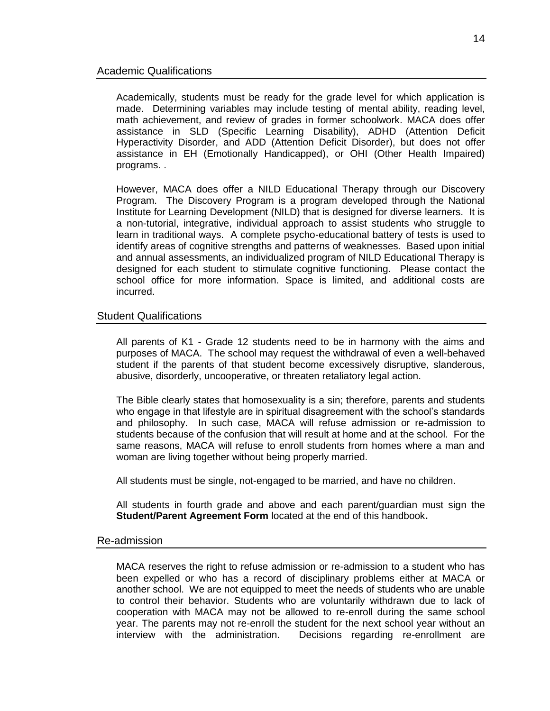<span id="page-13-0"></span>Academically, students must be ready for the grade level for which application is made. Determining variables may include testing of mental ability, reading level, math achievement, and review of grades in former schoolwork. MACA does offer assistance in SLD (Specific Learning Disability), ADHD (Attention Deficit Hyperactivity Disorder, and ADD (Attention Deficit Disorder), but does not offer assistance in EH (Emotionally Handicapped), or OHI (Other Health Impaired) programs. .

However, MACA does offer a NILD Educational Therapy through our Discovery Program. The Discovery Program is a program developed through the National Institute for Learning Development (NILD) that is designed for diverse learners. It is a non-tutorial, integrative, individual approach to assist students who struggle to learn in traditional ways. A complete psycho-educational battery of tests is used to identify areas of cognitive strengths and patterns of weaknesses. Based upon initial and annual assessments, an individualized program of NILD Educational Therapy is designed for each student to stimulate cognitive functioning. Please contact the school office for more information. Space is limited, and additional costs are incurred.

### <span id="page-13-1"></span>Student Qualifications

All parents of K1 - Grade 12 students need to be in harmony with the aims and purposes of MACA. The school may request the withdrawal of even a well-behaved student if the parents of that student become excessively disruptive, slanderous, abusive, disorderly, uncooperative, or threaten retaliatory legal action.

The Bible clearly states that homosexuality is a sin; therefore, parents and students who engage in that lifestyle are in spiritual disagreement with the school's standards and philosophy. In such case, MACA will refuse admission or re-admission to students because of the confusion that will result at home and at the school. For the same reasons, MACA will refuse to enroll students from homes where a man and woman are living together without being properly married.

All students must be single, not-engaged to be married, and have no children.

All students in fourth grade and above and each parent/guardian must sign the **Student/Parent Agreement Form** located at the end of this handbook**.**

### <span id="page-13-2"></span>Re-admission

MACA reserves the right to refuse admission or re-admission to a student who has been expelled or who has a record of disciplinary problems either at MACA or another school. We are not equipped to meet the needs of students who are unable to control their behavior. Students who are voluntarily withdrawn due to lack of cooperation with MACA may not be allowed to re-enroll during the same school year. The parents may not re-enroll the student for the next school year without an interview with the administration. Decisions regarding re-enrollment are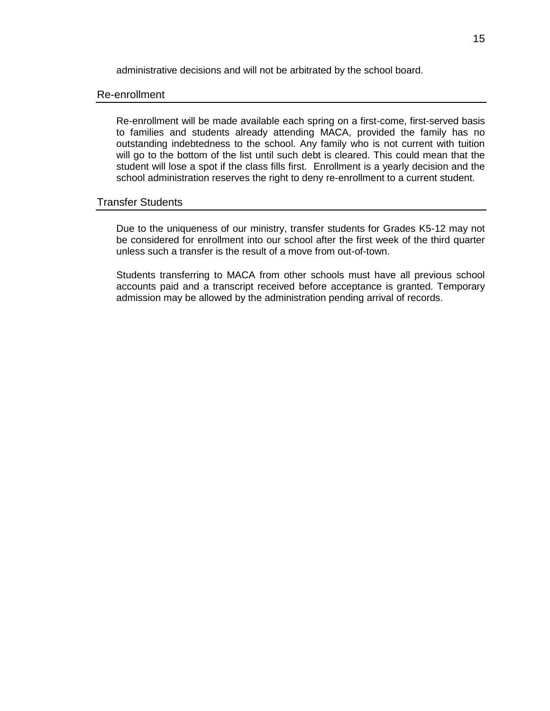administrative decisions and will not be arbitrated by the school board.

### <span id="page-14-0"></span>Re-enrollment

Re-enrollment will be made available each spring on a first-come, first-served basis to families and students already attending MACA, provided the family has no outstanding indebtedness to the school. Any family who is not current with tuition will go to the bottom of the list until such debt is cleared. This could mean that the student will lose a spot if the class fills first. Enrollment is a yearly decision and the school administration reserves the right to deny re-enrollment to a current student.

### <span id="page-14-1"></span>Transfer Students

Due to the uniqueness of our ministry, transfer students for Grades K5-12 may not be considered for enrollment into our school after the first week of the third quarter unless such a transfer is the result of a move from out-of-town.

Students transferring to MACA from other schools must have all previous school accounts paid and a transcript received before acceptance is granted. Temporary admission may be allowed by the administration pending arrival of records.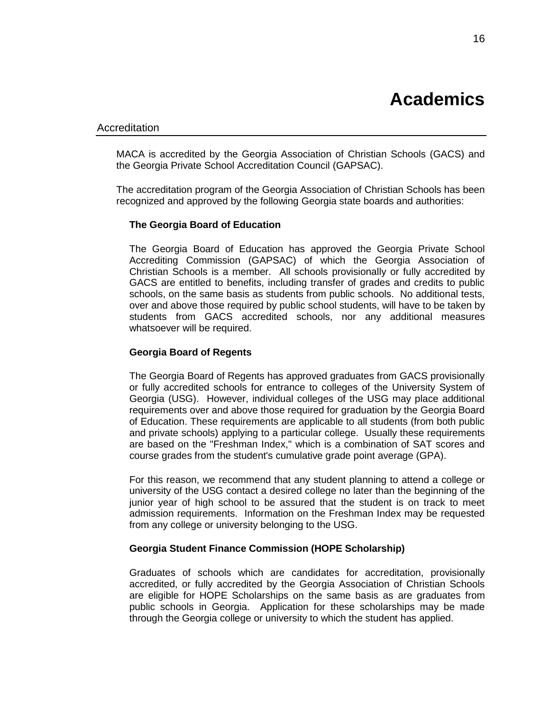### <span id="page-15-1"></span><span id="page-15-0"></span>Accreditation

MACA is accredited by the Georgia Association of Christian Schools (GACS) and the Georgia Private School Accreditation Council (GAPSAC).

The accreditation program of the Georgia Association of Christian Schools has been recognized and approved by the following Georgia state boards and authorities:

### **The Georgia Board of Education**

The Georgia Board of Education has approved the Georgia Private School Accrediting Commission (GAPSAC) of which the Georgia Association of Christian Schools is a member. All schools provisionally or fully accredited by GACS are entitled to benefits, including transfer of grades and credits to public schools, on the same basis as students from public schools. No additional tests, over and above those required by public school students, will have to be taken by students from GACS accredited schools, nor any additional measures whatsoever will be required.

### **Georgia Board of Regents**

The Georgia Board of Regents has approved graduates from GACS provisionally or fully accredited schools for entrance to colleges of the University System of Georgia (USG). However, individual colleges of the USG may place additional requirements over and above those required for graduation by the Georgia Board of Education. These requirements are applicable to all students (from both public and private schools) applying to a particular college. Usually these requirements are based on the "Freshman Index," which is a combination of SAT scores and course grades from the student's cumulative grade point average (GPA).

For this reason, we recommend that any student planning to attend a college or university of the USG contact a desired college no later than the beginning of the junior year of high school to be assured that the student is on track to meet admission requirements. Information on the Freshman Index may be requested from any college or university belonging to the USG.

### **Georgia Student Finance Commission (HOPE Scholarship)**

Graduates of schools which are candidates for accreditation, provisionally accredited, or fully accredited by the Georgia Association of Christian Schools are eligible for HOPE Scholarships on the same basis as are graduates from public schools in Georgia. Application for these scholarships may be made through the Georgia college or university to which the student has applied.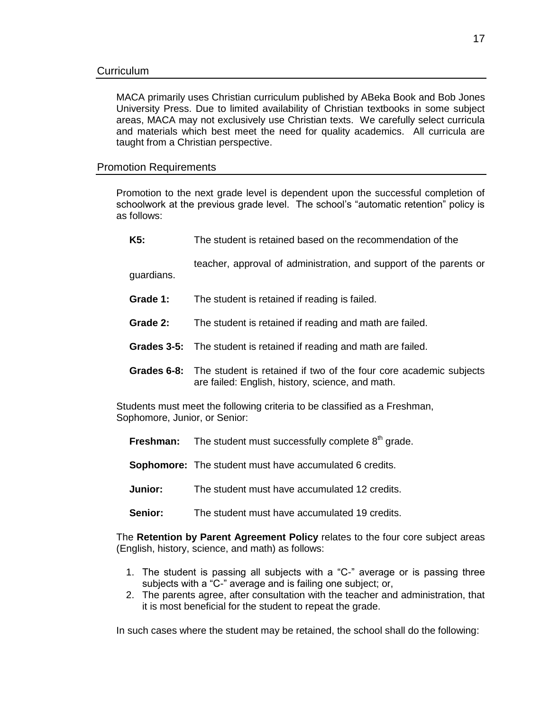<span id="page-16-0"></span>MACA primarily uses Christian curriculum published by ABeka Book and Bob Jones University Press. Due to limited availability of Christian textbooks in some subject areas, MACA may not exclusively use Christian texts. We carefully select curricula and materials which best meet the need for quality academics. All curricula are taught from a Christian perspective.

### <span id="page-16-1"></span>Promotion Requirements

Promotion to the next grade level is dependent upon the successful completion of schoolwork at the previous grade level. The school's "automatic retention" policy is as follows:

**K5:** The student is retained based on the recommendation of the

teacher, approval of administration, and support of the parents or guardians.

- **Grade 1:** The student is retained if reading is failed.
- **Grade 2:** The student is retained if reading and math are failed.
- **Grades 3-5:** The student is retained if reading and math are failed.
- **Grades 6-8:** The student is retained if two of the four core academic subjects are failed: English, history, science, and math.

Students must meet the following criteria to be classified as a Freshman, Sophomore, Junior, or Senior:

- **Freshman:** The student must successfully complete 8<sup>th</sup> grade.
- **Sophomore:** The student must have accumulated 6 credits.
- **Junior:** The student must have accumulated 12 credits.
- **Senior:** The student must have accumulated 19 credits.

The **Retention by Parent Agreement Policy** relates to the four core subject areas (English, history, science, and math) as follows:

- 1. The student is passing all subjects with a "C-" average or is passing three subjects with a "C-" average and is failing one subject; or,
- 2. The parents agree, after consultation with the teacher and administration, that it is most beneficial for the student to repeat the grade.

In such cases where the student may be retained, the school shall do the following: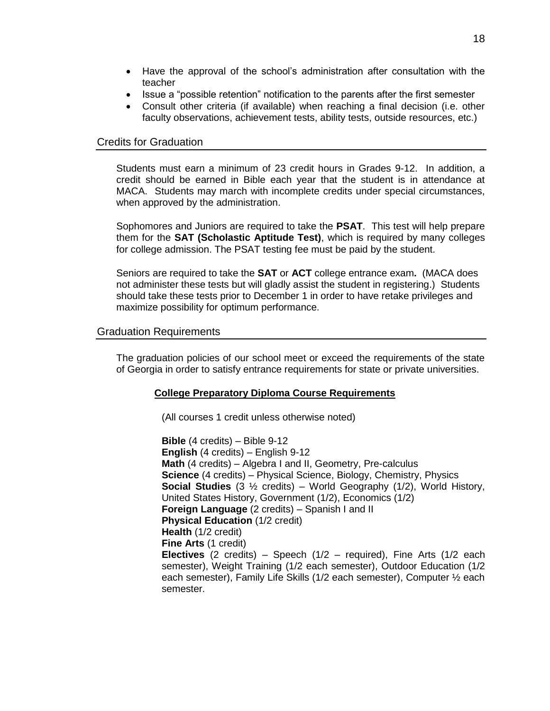- Have the approval of the school's administration after consultation with the teacher
- Issue a "possible retention" notification to the parents after the first semester
- Consult other criteria (if available) when reaching a final decision (i.e. other faculty observations, achievement tests, ability tests, outside resources, etc.)

### <span id="page-17-0"></span>Credits for Graduation

Students must earn a minimum of 23 credit hours in Grades 9-12. In addition, a credit should be earned in Bible each year that the student is in attendance at MACA. Students may march with incomplete credits under special circumstances, when approved by the administration.

Sophomores and Juniors are required to take the **PSAT**. This test will help prepare them for the **SAT (Scholastic Aptitude Test)**, which is required by many colleges for college admission. The PSAT testing fee must be paid by the student.

Seniors are required to take the **SAT** or **ACT** college entrance exam**.** (MACA does not administer these tests but will gladly assist the student in registering.) Students should take these tests prior to December 1 in order to have retake privileges and maximize possibility for optimum performance.

### <span id="page-17-1"></span>Graduation Requirements

The graduation policies of our school meet or exceed the requirements of the state of Georgia in order to satisfy entrance requirements for state or private universities.

### **College Preparatory Diploma Course Requirements**

(All courses 1 credit unless otherwise noted)

**Bible** (4 credits) – Bible 9-12 **English** (4 credits) – English 9-12 **Math** (4 credits) – Algebra I and II, Geometry, Pre-calculus **Science** (4 credits) – Physical Science, Biology, Chemistry, Physics **Social Studies** (3 ½ credits) – World Geography (1/2), World History, United States History, Government (1/2), Economics (1/2) **Foreign Language** (2 credits) – Spanish I and II **Physical Education** (1/2 credit) **Health** (1/2 credit) **Fine Arts** (1 credit) **Electives** (2 credits) – Speech (1/2 – required), Fine Arts (1/2 each semester), Weight Training (1/2 each semester), Outdoor Education (1/2 each semester), Family Life Skills (1/2 each semester), Computer ½ each semester.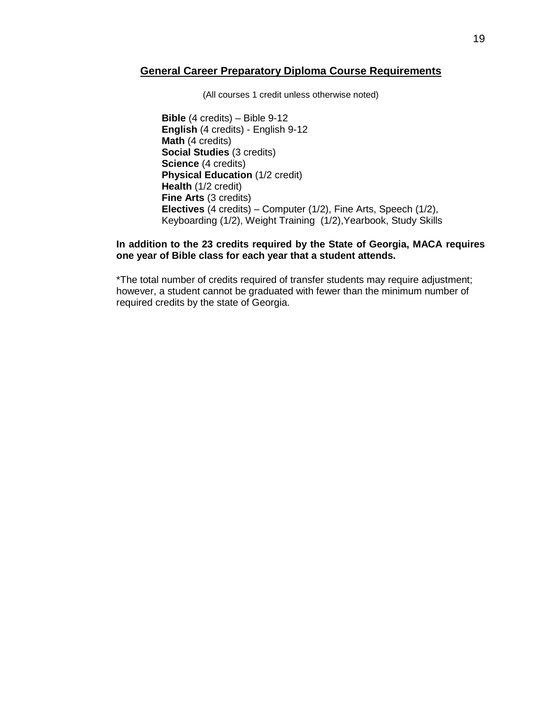### **General Career Preparatory Diploma Course Requirements**

(All courses 1 credit unless otherwise noted)

**Bible** (4 credits) – Bible 9-12 **English** (4 credits) - English 9-12 **Math** (4 credits) **Social Studies** (3 credits) **Science** (4 credits) **Physical Education (1/2 credit) Health** (1/2 credit) **Fine Arts** (3 credits) **Electives** (4 credits) – Computer (1/2), Fine Arts, Speech (1/2), Keyboarding (1/2), Weight Training (1/2),Yearbook, Study Skills

### **In addition to the 23 credits required by the State of Georgia, MACA requires one year of Bible class for each year that a student attends.**

\*The total number of credits required of transfer students may require adjustment; however, a student cannot be graduated with fewer than the minimum number of required credits by the state of Georgia.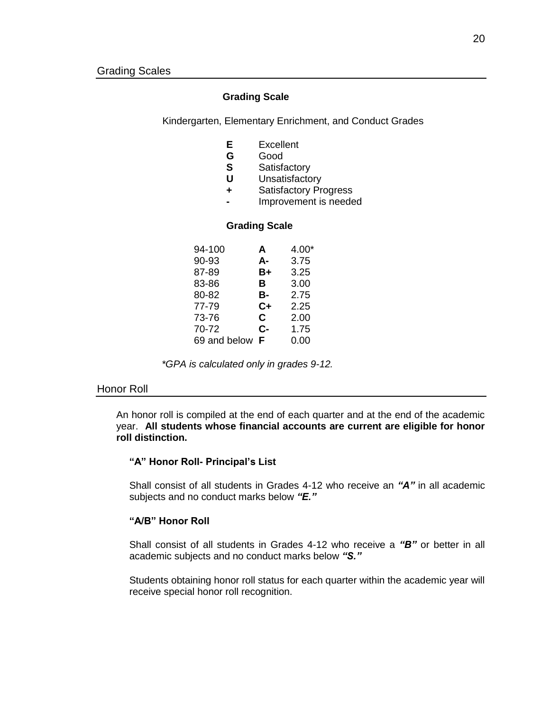### **Grading Scale**

<span id="page-19-0"></span>Kindergarten, Elementary Enrichment, and Conduct Grades

- **E** Excellent
- **G** Good
- **S** Satisfactory
- **U** Unsatisfactory
- **+** Satisfactory Progress
- **-** Improvement is needed

#### **Grading Scale**

| A  | $4.00*$ |
|----|---------|
| А- | 3.75    |
| B+ | 3.25    |
| в  | 3.00    |
| в- | 2.75    |
| C+ | 2.25    |
| C  | 2.00    |
| C- | 1.75    |
| F  | 0.00    |
|    |         |

*\*GPA is calculated only in grades 9-12.*

#### <span id="page-19-1"></span>Honor Roll

An honor roll is compiled at the end of each quarter and at the end of the academic year. **All students whose financial accounts are current are eligible for honor roll distinction.**

### **"A" Honor Roll- Principal's List**

Shall consist of all students in Grades 4-12 who receive an *"A"* in all academic subjects and no conduct marks below *"E."*

### **"A/B" Honor Roll**

Shall consist of all students in Grades 4-12 who receive a *"B"* or better in all academic subjects and no conduct marks below *"S."*

Students obtaining honor roll status for each quarter within the academic year will receive special honor roll recognition.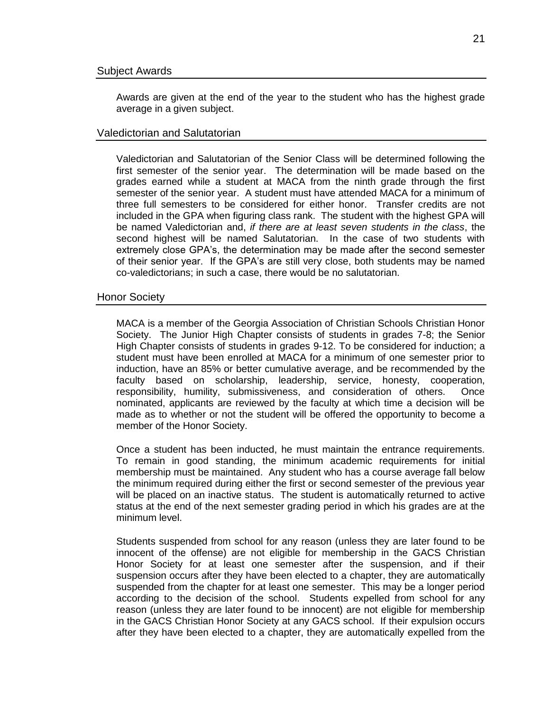<span id="page-20-0"></span>Awards are given at the end of the year to the student who has the highest grade average in a given subject.

### <span id="page-20-1"></span>Valedictorian and Salutatorian

Valedictorian and Salutatorian of the Senior Class will be determined following the first semester of the senior year. The determination will be made based on the grades earned while a student at MACA from the ninth grade through the first semester of the senior year. A student must have attended MACA for a minimum of three full semesters to be considered for either honor. Transfer credits are not included in the GPA when figuring class rank. The student with the highest GPA will be named Valedictorian and, *if there are at least seven students in the class*, the second highest will be named Salutatorian. In the case of two students with extremely close GPA's, the determination may be made after the second semester of their senior year. If the GPA's are still very close, both students may be named co-valedictorians; in such a case, there would be no salutatorian.

### <span id="page-20-2"></span>Honor Society

MACA is a member of the Georgia Association of Christian Schools Christian Honor Society. The Junior High Chapter consists of students in grades 7-8; the Senior High Chapter consists of students in grades 9-12. To be considered for induction; a student must have been enrolled at MACA for a minimum of one semester prior to induction, have an 85% or better cumulative average, and be recommended by the faculty based on scholarship, leadership, service, honesty, cooperation, responsibility, humility, submissiveness, and consideration of others. Once nominated, applicants are reviewed by the faculty at which time a decision will be made as to whether or not the student will be offered the opportunity to become a member of the Honor Society.

Once a student has been inducted, he must maintain the entrance requirements. To remain in good standing, the minimum academic requirements for initial membership must be maintained. Any student who has a course average fall below the minimum required during either the first or second semester of the previous year will be placed on an inactive status. The student is automatically returned to active status at the end of the next semester grading period in which his grades are at the minimum level.

Students suspended from school for any reason (unless they are later found to be innocent of the offense) are not eligible for membership in the GACS Christian Honor Society for at least one semester after the suspension, and if their suspension occurs after they have been elected to a chapter, they are automatically suspended from the chapter for at least one semester. This may be a longer period according to the decision of the school. Students expelled from school for any reason (unless they are later found to be innocent) are not eligible for membership in the GACS Christian Honor Society at any GACS school. If their expulsion occurs after they have been elected to a chapter, they are automatically expelled from the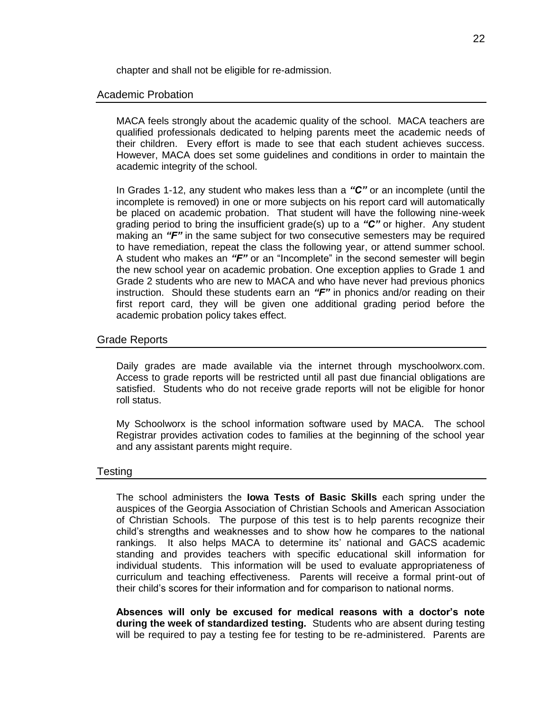chapter and shall not be eligible for re-admission.

### <span id="page-21-0"></span>Academic Probation

MACA feels strongly about the academic quality of the school. MACA teachers are qualified professionals dedicated to helping parents meet the academic needs of their children. Every effort is made to see that each student achieves success. However, MACA does set some guidelines and conditions in order to maintain the academic integrity of the school.

In Grades 1-12, any student who makes less than a *"C"* or an incomplete (until the incomplete is removed) in one or more subjects on his report card will automatically be placed on academic probation. That student will have the following nine-week grading period to bring the insufficient grade(s) up to a *"C"* or higher. Any student making an *"F"* in the same subject for two consecutive semesters may be required to have remediation, repeat the class the following year, or attend summer school. A student who makes an *"F"* or an "Incomplete" in the second semester will begin the new school year on academic probation. One exception applies to Grade 1 and Grade 2 students who are new to MACA and who have never had previous phonics instruction. Should these students earn an *"F"* in phonics and/or reading on their first report card, they will be given one additional grading period before the academic probation policy takes effect.

### <span id="page-21-1"></span>Grade Reports

Daily grades are made available via the internet through myschoolworx.com. Access to grade reports will be restricted until all past due financial obligations are satisfied. Students who do not receive grade reports will not be eligible for honor roll status.

My Schoolworx is the school information software used by MACA. The school Registrar provides activation codes to families at the beginning of the school year and any assistant parents might require.

### <span id="page-21-2"></span>Testing

The school administers the **Iowa Tests of Basic Skills** each spring under the auspices of the Georgia Association of Christian Schools and American Association of Christian Schools. The purpose of this test is to help parents recognize their child's strengths and weaknesses and to show how he compares to the national rankings. It also helps MACA to determine its' national and GACS academic standing and provides teachers with specific educational skill information for individual students. This information will be used to evaluate appropriateness of curriculum and teaching effectiveness. Parents will receive a formal print-out of their child's scores for their information and for comparison to national norms.

**Absences will only be excused for medical reasons with a doctor's note during the week of standardized testing.** Students who are absent during testing will be required to pay a testing fee for testing to be re-administered. Parents are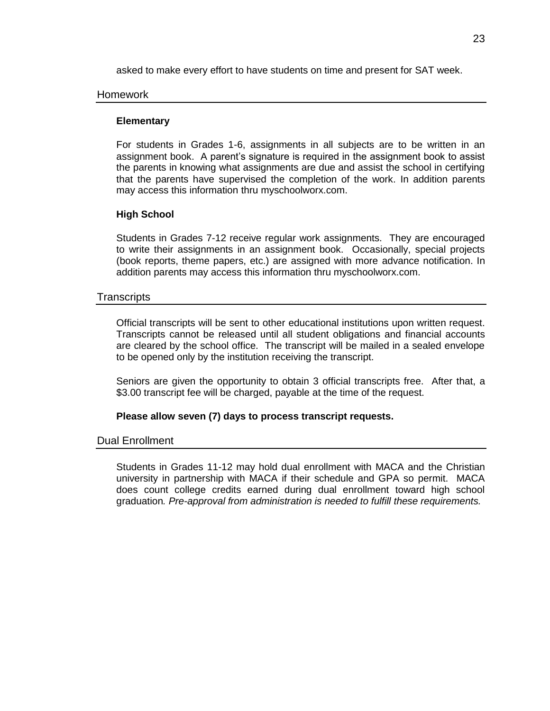asked to make every effort to have students on time and present for SAT week.

### <span id="page-22-0"></span>Homework

### **Elementary**

For students in Grades 1-6, assignments in all subjects are to be written in an assignment book. A parent's signature is required in the assignment book to assist the parents in knowing what assignments are due and assist the school in certifying that the parents have supervised the completion of the work. In addition parents may access this information thru myschoolworx.com.

### **High School**

Students in Grades 7-12 receive regular work assignments. They are encouraged to write their assignments in an assignment book. Occasionally, special projects (book reports, theme papers, etc.) are assigned with more advance notification. In addition parents may access this information thru myschoolworx.com.

### <span id="page-22-1"></span>**Transcripts**

Official transcripts will be sent to other educational institutions upon written request. Transcripts cannot be released until all student obligations and financial accounts are cleared by the school office. The transcript will be mailed in a sealed envelope to be opened only by the institution receiving the transcript.

Seniors are given the opportunity to obtain 3 official transcripts free. After that, a \$3.00 transcript fee will be charged, payable at the time of the request.

### **Please allow seven (7) days to process transcript requests.**

### <span id="page-22-2"></span>Dual Enrollment

Students in Grades 11-12 may hold dual enrollment with MACA and the Christian university in partnership with MACA if their schedule and GPA so permit. MACA does count college credits earned during dual enrollment toward high school graduation*. Pre-approval from administration is needed to fulfill these requirements.*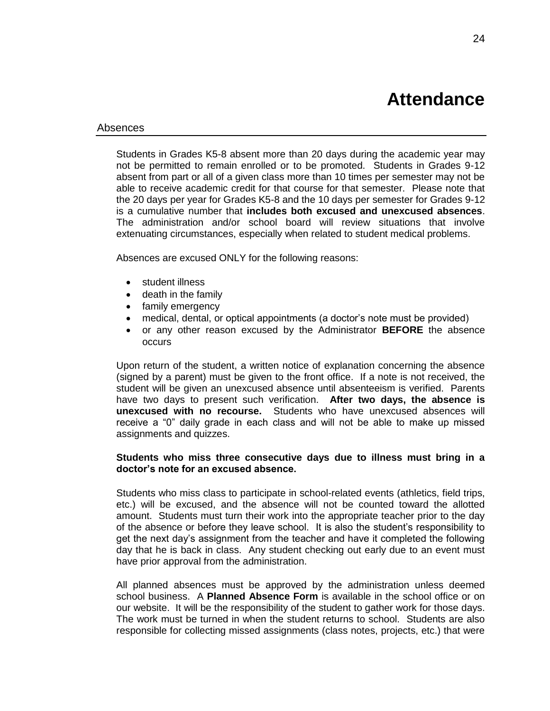## **Attendance**

#### <span id="page-23-1"></span><span id="page-23-0"></span>Absences

Students in Grades K5-8 absent more than 20 days during the academic year may not be permitted to remain enrolled or to be promoted. Students in Grades 9-12 absent from part or all of a given class more than 10 times per semester may not be able to receive academic credit for that course for that semester. Please note that the 20 days per year for Grades K5-8 and the 10 days per semester for Grades 9-12 is a cumulative number that **includes both excused and unexcused absences**. The administration and/or school board will review situations that involve extenuating circumstances, especially when related to student medical problems.

Absences are excused ONLY for the following reasons:

- student illness
- death in the family
- family emergency
- medical, dental, or optical appointments (a doctor's note must be provided)
- or any other reason excused by the Administrator **BEFORE** the absence occurs

Upon return of the student, a written notice of explanation concerning the absence (signed by a parent) must be given to the front office. If a note is not received, the student will be given an unexcused absence until absenteeism is verified. Parents have two days to present such verification. **After two days, the absence is unexcused with no recourse.** Students who have unexcused absences will receive a "0" daily grade in each class and will not be able to make up missed assignments and quizzes.

### **Students who miss three consecutive days due to illness must bring in a doctor's note for an excused absence.**

Students who miss class to participate in school-related events (athletics, field trips, etc.) will be excused, and the absence will not be counted toward the allotted amount. Students must turn their work into the appropriate teacher prior to the day of the absence or before they leave school. It is also the student's responsibility to get the next day's assignment from the teacher and have it completed the following day that he is back in class. Any student checking out early due to an event must have prior approval from the administration.

All planned absences must be approved by the administration unless deemed school business. A **Planned Absence Form** is available in the school office or on our website. It will be the responsibility of the student to gather work for those days. The work must be turned in when the student returns to school. Students are also responsible for collecting missed assignments (class notes, projects, etc.) that were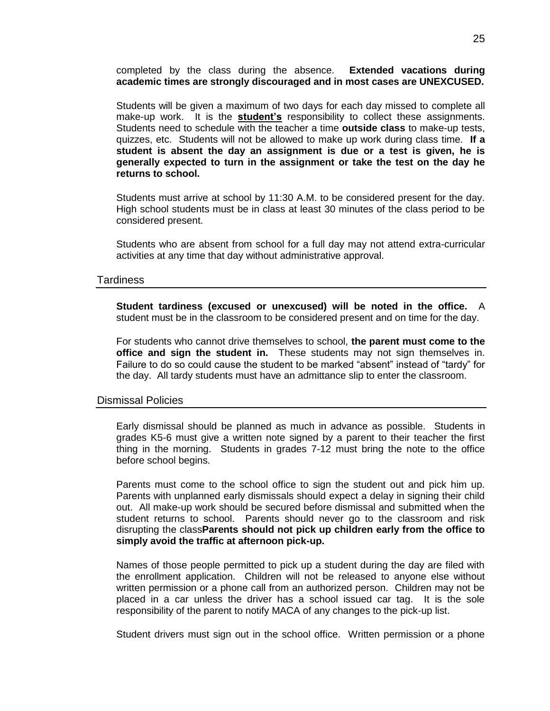completed by the class during the absence. **Extended vacations during academic times are strongly discouraged and in most cases are UNEXCUSED.**

Students will be given a maximum of two days for each day missed to complete all make-up work. It is the **student's** responsibility to collect these assignments. Students need to schedule with the teacher a time **outside class** to make-up tests, quizzes, etc. Students will not be allowed to make up work during class time. **If a student is absent the day an assignment is due or a test is given, he is generally expected to turn in the assignment or take the test on the day he returns to school.**

Students must arrive at school by 11:30 A.M. to be considered present for the day. High school students must be in class at least 30 minutes of the class period to be considered present.

Students who are absent from school for a full day may not attend extra-curricular activities at any time that day without administrative approval.

### <span id="page-24-0"></span>Tardiness

**Student tardiness (excused or unexcused) will be noted in the office.** A student must be in the classroom to be considered present and on time for the day.

For students who cannot drive themselves to school, **the parent must come to the office and sign the student in.** These students may not sign themselves in. Failure to do so could cause the student to be marked "absent" instead of "tardy" for the day. All tardy students must have an admittance slip to enter the classroom.

### <span id="page-24-1"></span>Dismissal Policies

Early dismissal should be planned as much in advance as possible. Students in grades K5-6 must give a written note signed by a parent to their teacher the first thing in the morning. Students in grades 7-12 must bring the note to the office before school begins.

Parents must come to the school office to sign the student out and pick him up. Parents with unplanned early dismissals should expect a delay in signing their child out. All make-up work should be secured before dismissal and submitted when the student returns to school. Parents should never go to the classroom and risk disrupting the class**Parents should not pick up children early from the office to simply avoid the traffic at afternoon pick-up.**

Names of those people permitted to pick up a student during the day are filed with the enrollment application. Children will not be released to anyone else without written permission or a phone call from an authorized person. Children may not be placed in a car unless the driver has a school issued car tag. It is the sole responsibility of the parent to notify MACA of any changes to the pick-up list.

Student drivers must sign out in the school office. Written permission or a phone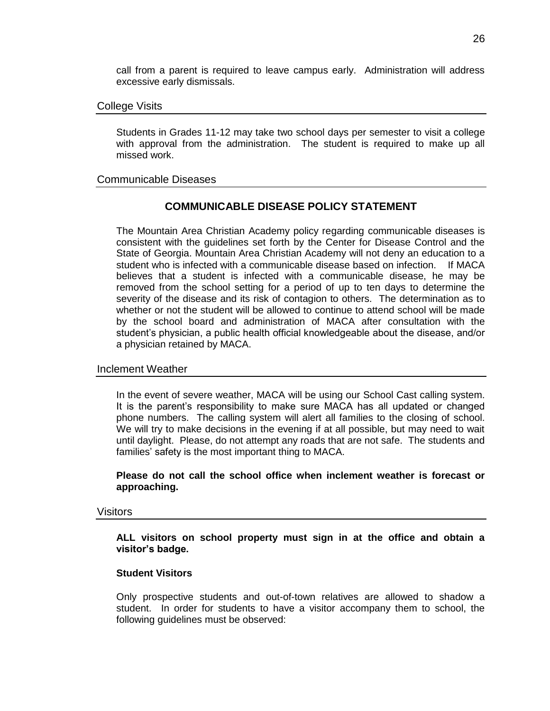call from a parent is required to leave campus early. Administration will address excessive early dismissals.

### <span id="page-25-0"></span>College Visits

Students in Grades 11-12 may take two school days per semester to visit a college with approval from the administration. The student is required to make up all missed work.

### <span id="page-25-1"></span>Communicable Diseases

### **COMMUNICABLE DISEASE POLICY STATEMENT**

The Mountain Area Christian Academy policy regarding communicable diseases is consistent with the guidelines set forth by the Center for Disease Control and the State of Georgia. Mountain Area Christian Academy will not deny an education to a student who is infected with a communicable disease based on infection. If MACA believes that a student is infected with a communicable disease, he may be removed from the school setting for a period of up to ten days to determine the severity of the disease and its risk of contagion to others. The determination as to whether or not the student will be allowed to continue to attend school will be made by the school board and administration of MACA after consultation with the student's physician, a public health official knowledgeable about the disease, and/or a physician retained by MACA.

### <span id="page-25-2"></span>Inclement Weather

In the event of severe weather, MACA will be using our School Cast calling system. It is the parent's responsibility to make sure MACA has all updated or changed phone numbers. The calling system will alert all families to the closing of school. We will try to make decisions in the evening if at all possible, but may need to wait until daylight. Please, do not attempt any roads that are not safe. The students and families' safety is the most important thing to MACA.

**Please do not call the school office when inclement weather is forecast or approaching.**

### <span id="page-25-3"></span>Visitors

**ALL visitors on school property must sign in at the office and obtain a visitor's badge.**

### **Student Visitors**

Only prospective students and out-of-town relatives are allowed to shadow a student. In order for students to have a visitor accompany them to school, the following guidelines must be observed: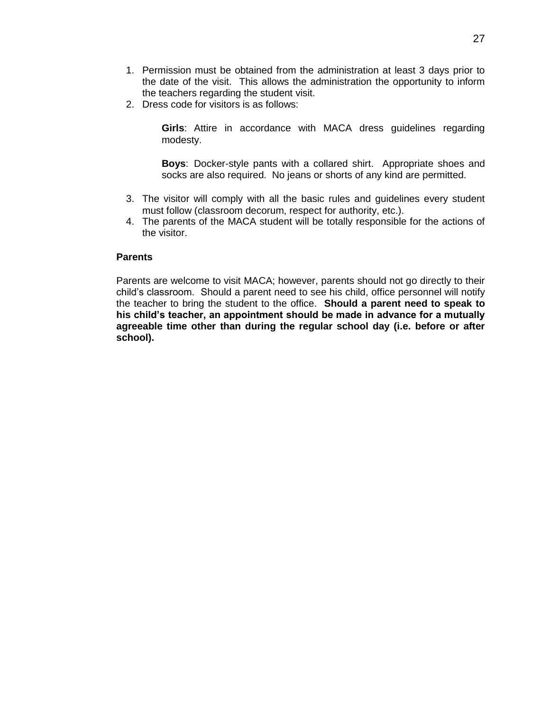- 1. Permission must be obtained from the administration at least 3 days prior to the date of the visit. This allows the administration the opportunity to inform the teachers regarding the student visit.
- 2. Dress code for visitors is as follows:

**Girls**: Attire in accordance with MACA dress guidelines regarding modesty.

**Boys**: Docker-style pants with a collared shirt. Appropriate shoes and socks are also required. No jeans or shorts of any kind are permitted.

- 3. The visitor will comply with all the basic rules and guidelines every student must follow (classroom decorum, respect for authority, etc.).
- 4. The parents of the MACA student will be totally responsible for the actions of the visitor.

### **Parents**

Parents are welcome to visit MACA; however, parents should not go directly to their child's classroom. Should a parent need to see his child, office personnel will notify the teacher to bring the student to the office. **Should a parent need to speak to his child's teacher, an appointment should be made in advance for a mutually agreeable time other than during the regular school day (i.e. before or after school).**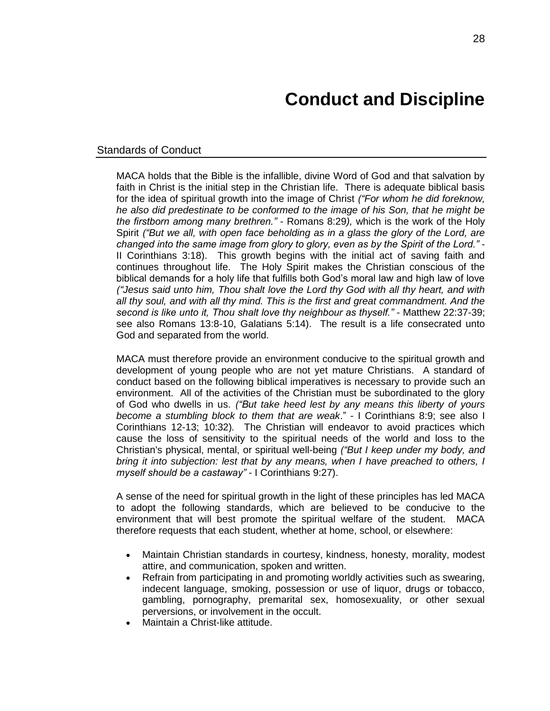# **Conduct and Discipline**

### <span id="page-27-1"></span><span id="page-27-0"></span>Standards of Conduct

MACA holds that the Bible is the infallible, divine Word of God and that salvation by faith in Christ is the initial step in the Christian life. There is adequate biblical basis for the idea of spiritual growth into the image of Christ *("For whom he did foreknow, he also did predestinate to be conformed to the image of his Son, that he might be the firstborn among many brethren."* - Romans 8:29*),* which is the work of the Holy Spirit *("But we all, with open face beholding as in a glass the glory of the Lord, are changed into the same image from glory to glory, even as by the Spirit of the Lord."* - II Corinthians 3:18). This growth begins with the initial act of saving faith and continues throughout life. The Holy Spirit makes the Christian conscious of the biblical demands for a holy life that fulfills both God's moral law and high law of love *("Jesus said unto him, Thou shalt love the Lord thy God with all thy heart, and with all thy soul, and with all thy mind. This is the first and great commandment. And the second is like unto it, Thou shalt love thy neighbour as thyself."* - Matthew 22:37-39; see also Romans 13:8-10, Galatians 5:14). The result is a life consecrated unto God and separated from the world.

MACA must therefore provide an environment conducive to the spiritual growth and development of young people who are not yet mature Christians. A standard of conduct based on the following biblical imperatives is necessary to provide such an environment. All of the activities of the Christian must be subordinated to the glory of God who dwells in us. *("But take heed lest by any means this liberty of yours become a stumbling block to them that are weak*." - I Corinthians 8:9; see also I Corinthians 12-13; 10:32)*.* The Christian will endeavor to avoid practices which cause the loss of sensitivity to the spiritual needs of the world and loss to the Christian's physical, mental, or spiritual well-being *("But I keep under my body, and bring it into subjection: lest that by any means, when I have preached to others, I myself should be a castaway"* - I Corinthians 9:27).

A sense of the need for spiritual growth in the light of these principles has led MACA to adopt the following standards, which are believed to be conducive to the environment that will best promote the spiritual welfare of the student. MACA therefore requests that each student, whether at home, school, or elsewhere:

- Maintain Christian standards in courtesy, kindness, honesty, morality, modest attire, and communication, spoken and written.
- Refrain from participating in and promoting worldly activities such as swearing, indecent language, smoking, possession or use of liquor, drugs or tobacco, gambling, pornography, premarital sex, homosexuality, or other sexual perversions, or involvement in the occult.
- Maintain a Christ-like attitude.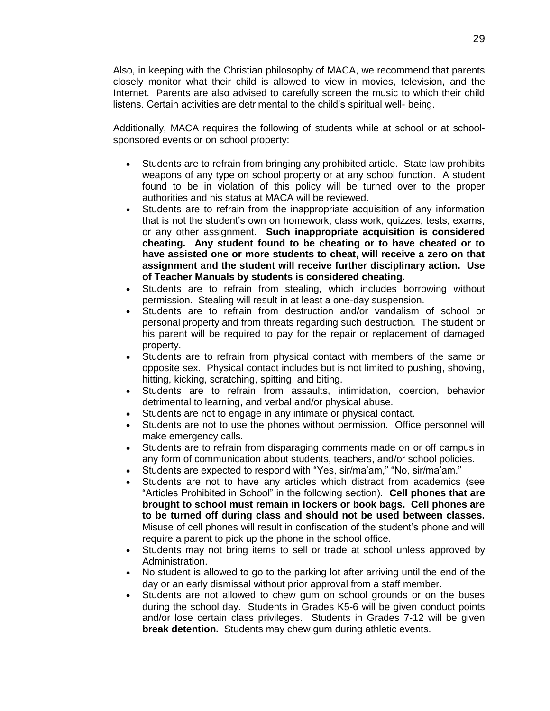Also, in keeping with the Christian philosophy of MACA, we recommend that parents closely monitor what their child is allowed to view in movies, television, and the Internet. Parents are also advised to carefully screen the music to which their child listens. Certain activities are detrimental to the child's spiritual well- being.

Additionally, MACA requires the following of students while at school or at schoolsponsored events or on school property:

- Students are to refrain from bringing any prohibited article. State law prohibits weapons of any type on school property or at any school function. A student found to be in violation of this policy will be turned over to the proper authorities and his status at MACA will be reviewed.
- Students are to refrain from the inappropriate acquisition of any information that is not the student's own on homework, class work, quizzes, tests, exams, or any other assignment. **Such inappropriate acquisition is considered cheating. Any student found to be cheating or to have cheated or to have assisted one or more students to cheat, will receive a zero on that assignment and the student will receive further disciplinary action. Use of Teacher Manuals by students is considered cheating.**
- Students are to refrain from stealing, which includes borrowing without permission. Stealing will result in at least a one-day suspension.
- Students are to refrain from destruction and/or vandalism of school or personal property and from threats regarding such destruction. The student or his parent will be required to pay for the repair or replacement of damaged property.
- Students are to refrain from physical contact with members of the same or opposite sex. Physical contact includes but is not limited to pushing, shoving, hitting, kicking, scratching, spitting, and biting.
- Students are to refrain from assaults, intimidation, coercion, behavior detrimental to learning, and verbal and/or physical abuse.
- Students are not to engage in any intimate or physical contact.
- Students are not to use the phones without permission. Office personnel will make emergency calls.
- Students are to refrain from disparaging comments made on or off campus in any form of communication about students, teachers, and/or school policies.
- Students are expected to respond with "Yes, sir/ma'am," "No, sir/ma'am."
- Students are not to have any articles which distract from academics (see "Articles Prohibited in School" in the following section). **Cell phones that are brought to school must remain in lockers or book bags. Cell phones are to be turned off during class and should not be used between classes.** Misuse of cell phones will result in confiscation of the student's phone and will require a parent to pick up the phone in the school office.
- Students may not bring items to sell or trade at school unless approved by Administration.
- No student is allowed to go to the parking lot after arriving until the end of the day or an early dismissal without prior approval from a staff member.
- Students are not allowed to chew gum on school grounds or on the buses during the school day. Students in Grades K5-6 will be given conduct points and/or lose certain class privileges. Students in Grades 7-12 will be given **break detention.** Students may chew gum during athletic events.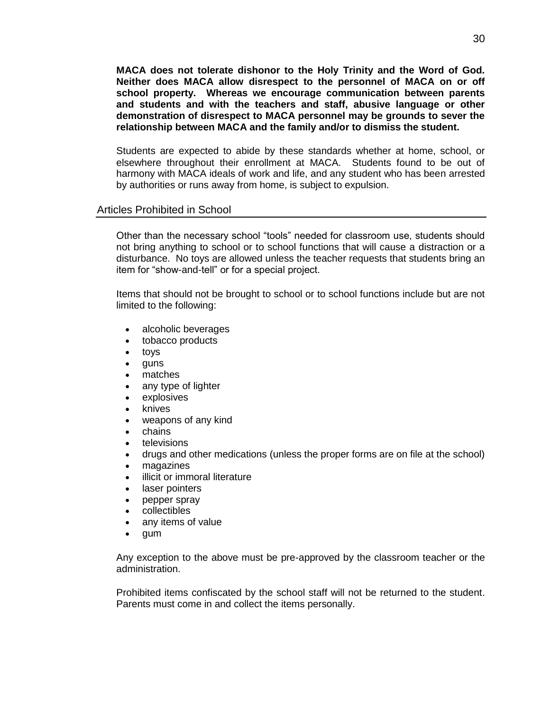**MACA does not tolerate dishonor to the Holy Trinity and the Word of God. Neither does MACA allow disrespect to the personnel of MACA on or off school property. Whereas we encourage communication between parents and students and with the teachers and staff, abusive language or other demonstration of disrespect to MACA personnel may be grounds to sever the relationship between MACA and the family and/or to dismiss the student.**

Students are expected to abide by these standards whether at home, school, or elsewhere throughout their enrollment at MACA. Students found to be out of harmony with MACA ideals of work and life, and any student who has been arrested by authorities or runs away from home, is subject to expulsion.

### <span id="page-29-0"></span>Articles Prohibited in School

Other than the necessary school "tools" needed for classroom use, students should not bring anything to school or to school functions that will cause a distraction or a disturbance. No toys are allowed unless the teacher requests that students bring an item for "show-and-tell" or for a special project.

Items that should not be brought to school or to school functions include but are not limited to the following:

- alcoholic beverages
- tobacco products
- toys
- guns
- matches
- any type of lighter
- explosives
- knives
- weapons of any kind
- chains
- televisions
- drugs and other medications (unless the proper forms are on file at the school)
- magazines
- illicit or immoral literature
- laser pointers
- pepper spray
- collectibles
- any items of value
- gum

Any exception to the above must be pre-approved by the classroom teacher or the administration.

Prohibited items confiscated by the school staff will not be returned to the student. Parents must come in and collect the items personally.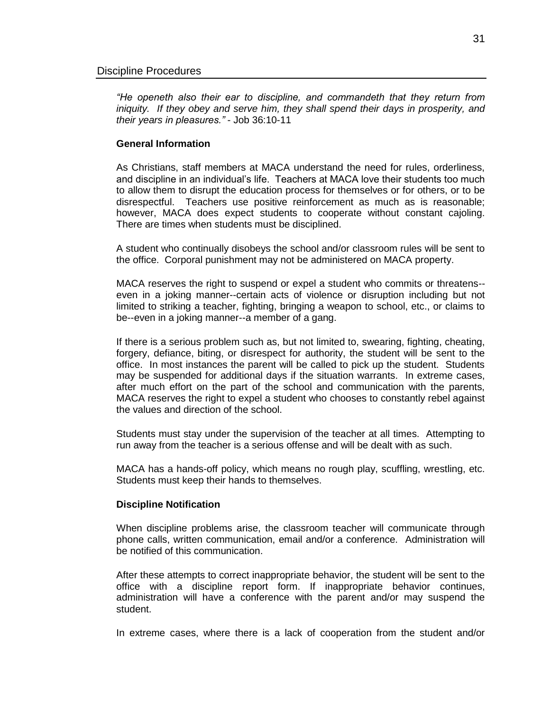<span id="page-30-0"></span>*"He openeth also their ear to discipline, and commandeth that they return from iniquity. If they obey and serve him, they shall spend their days in prosperity, and their years in pleasures."* - Job 36:10-11

### **General Information**

As Christians, staff members at MACA understand the need for rules, orderliness, and discipline in an individual's life. Teachers at MACA love their students too much to allow them to disrupt the education process for themselves or for others, or to be disrespectful. Teachers use positive reinforcement as much as is reasonable; however, MACA does expect students to cooperate without constant cajoling. There are times when students must be disciplined.

A student who continually disobeys the school and/or classroom rules will be sent to the office. Corporal punishment may not be administered on MACA property.

MACA reserves the right to suspend or expel a student who commits or threatens- even in a joking manner--certain acts of violence or disruption including but not limited to striking a teacher, fighting, bringing a weapon to school, etc., or claims to be--even in a joking manner--a member of a gang.

If there is a serious problem such as, but not limited to, swearing, fighting, cheating, forgery, defiance, biting, or disrespect for authority, the student will be sent to the office. In most instances the parent will be called to pick up the student. Students may be suspended for additional days if the situation warrants. In extreme cases, after much effort on the part of the school and communication with the parents, MACA reserves the right to expel a student who chooses to constantly rebel against the values and direction of the school.

Students must stay under the supervision of the teacher at all times. Attempting to run away from the teacher is a serious offense and will be dealt with as such.

MACA has a hands-off policy, which means no rough play, scuffling, wrestling, etc. Students must keep their hands to themselves.

#### **Discipline Notification**

When discipline problems arise, the classroom teacher will communicate through phone calls, written communication, email and/or a conference. Administration will be notified of this communication.

After these attempts to correct inappropriate behavior, the student will be sent to the office with a discipline report form. If inappropriate behavior continues, administration will have a conference with the parent and/or may suspend the student.

In extreme cases, where there is a lack of cooperation from the student and/or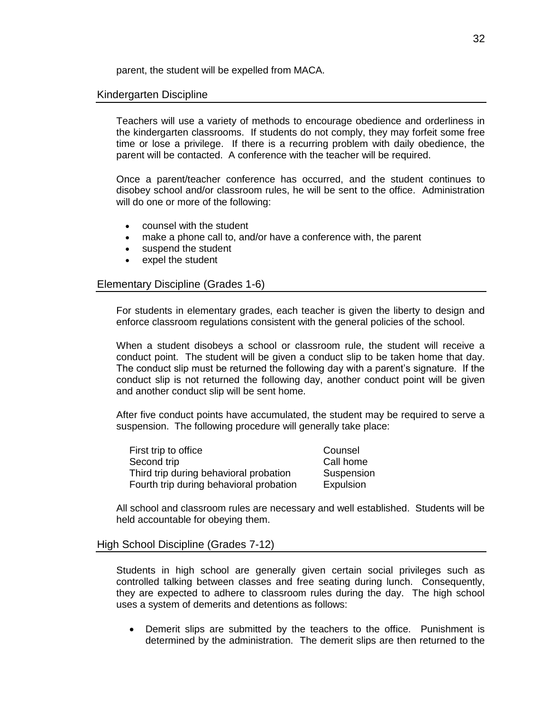parent, the student will be expelled from MACA.

### <span id="page-31-0"></span>Kindergarten Discipline

Teachers will use a variety of methods to encourage obedience and orderliness in the kindergarten classrooms. If students do not comply, they may forfeit some free time or lose a privilege. If there is a recurring problem with daily obedience, the parent will be contacted. A conference with the teacher will be required.

Once a parent/teacher conference has occurred, and the student continues to disobey school and/or classroom rules, he will be sent to the office. Administration will do one or more of the following:

- counsel with the student
- make a phone call to, and/or have a conference with, the parent
- suspend the student
- expel the student

### <span id="page-31-1"></span>Elementary Discipline (Grades 1-6)

For students in elementary grades, each teacher is given the liberty to design and enforce classroom regulations consistent with the general policies of the school.

When a student disobeys a school or classroom rule, the student will receive a conduct point. The student will be given a conduct slip to be taken home that day. The conduct slip must be returned the following day with a parent's signature. If the conduct slip is not returned the following day, another conduct point will be given and another conduct slip will be sent home.

After five conduct points have accumulated, the student may be required to serve a suspension. The following procedure will generally take place:

First trip to office **Counsel** Second trip example of the Call home Third trip during behavioral probation Suspension Fourth trip during behavioral probation Expulsion

All school and classroom rules are necessary and well established. Students will be held accountable for obeying them.

### <span id="page-31-2"></span>High School Discipline (Grades 7-12)

Students in high school are generally given certain social privileges such as controlled talking between classes and free seating during lunch. Consequently, they are expected to adhere to classroom rules during the day. The high school uses a system of demerits and detentions as follows:

 Demerit slips are submitted by the teachers to the office. Punishment is determined by the administration. The demerit slips are then returned to the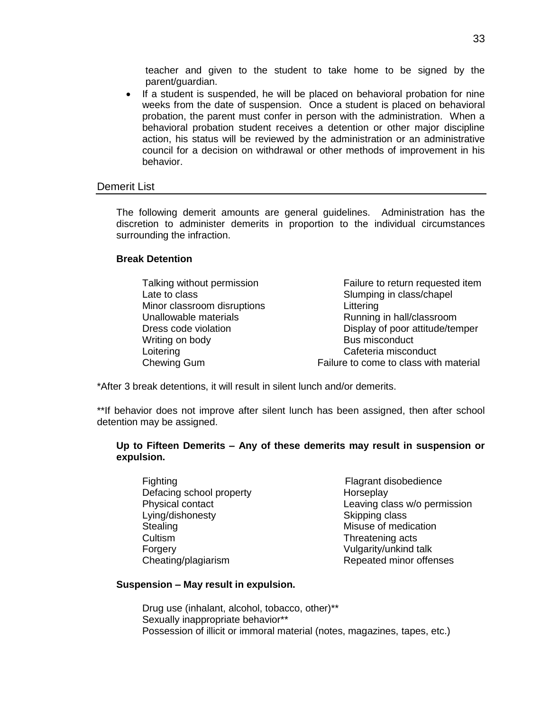teacher and given to the student to take home to be signed by the parent/guardian.

• If a student is suspended, he will be placed on behavioral probation for nine weeks from the date of suspension. Once a student is placed on behavioral probation, the parent must confer in person with the administration. When a behavioral probation student receives a detention or other major discipline action, his status will be reviewed by the administration or an administrative council for a decision on withdrawal or other methods of improvement in his behavior.

### <span id="page-32-0"></span>Demerit List

The following demerit amounts are general guidelines. Administration has the discretion to administer demerits in proportion to the individual circumstances surrounding the infraction.

### **Break Detention**

| Talking without permission  | Failure to return requested item       |
|-----------------------------|----------------------------------------|
| Late to class               | Slumping in class/chapel               |
| Minor classroom disruptions | Littering                              |
| Unallowable materials       | Running in hall/classroom              |
| Dress code violation        | Display of poor attitude/temper        |
| Writing on body             | Bus misconduct                         |
| Loitering                   | Cafeteria misconduct                   |
| Chewing Gum                 | Failure to come to class with material |

\*After 3 break detentions, it will result in silent lunch and/or demerits.

\*\*If behavior does not improve after silent lunch has been assigned, then after school detention may be assigned.

### **Up to Fifteen Demerits – Any of these demerits may result in suspension or expulsion.**

- Fighting Fighting **Fighting Flagrant disobedience** Defacing school property<br>
Physical contact<br>
Physical contact<br>
Physical contact Lying/dishonesty Skipping class Stealing Misuse of medication Cultism Threatening acts Forgery Vulgarity/unkind talk
- Leaving class w/o permission Cheating/plagiarism Repeated minor offenses

### **Suspension – May result in expulsion.**

Drug use (inhalant, alcohol, tobacco, other)\*\* Sexually inappropriate behavior\*\* Possession of illicit or immoral material (notes, magazines, tapes, etc.)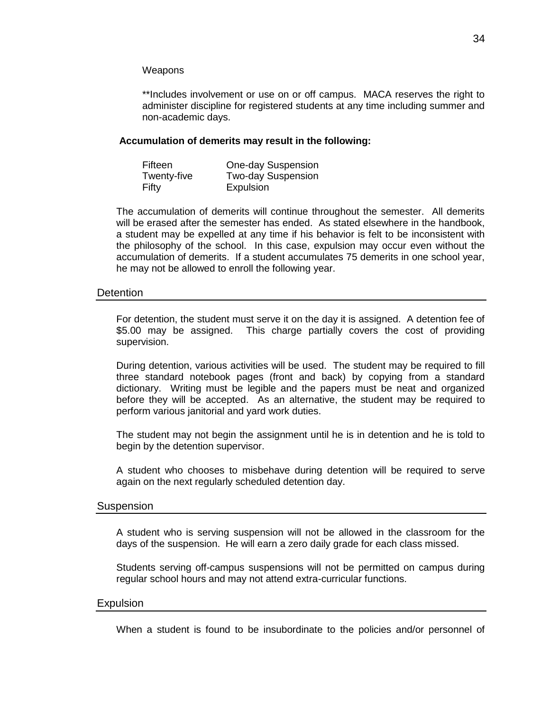### **Weapons**

\*\*Includes involvement or use on or off campus. MACA reserves the right to administer discipline for registered students at any time including summer and non-academic days.

### **Accumulation of demerits may result in the following:**

| Fifteen     | <b>One-day Suspension</b> |
|-------------|---------------------------|
| Twenty-five | <b>Two-day Suspension</b> |
| Fifty       | Expulsion                 |

The accumulation of demerits will continue throughout the semester. All demerits will be erased after the semester has ended. As stated elsewhere in the handbook, a student may be expelled at any time if his behavior is felt to be inconsistent with the philosophy of the school. In this case, expulsion may occur even without the accumulation of demerits. If a student accumulates 75 demerits in one school year, he may not be allowed to enroll the following year.

### <span id="page-33-0"></span>**Detention**

For detention, the student must serve it on the day it is assigned. A detention fee of \$5.00 may be assigned. This charge partially covers the cost of providing supervision.

During detention, various activities will be used. The student may be required to fill three standard notebook pages (front and back) by copying from a standard dictionary. Writing must be legible and the papers must be neat and organized before they will be accepted. As an alternative, the student may be required to perform various janitorial and yard work duties.

The student may not begin the assignment until he is in detention and he is told to begin by the detention supervisor.

A student who chooses to misbehave during detention will be required to serve again on the next regularly scheduled detention day.

### <span id="page-33-1"></span>**Suspension**

A student who is serving suspension will not be allowed in the classroom for the days of the suspension. He will earn a zero daily grade for each class missed.

Students serving off-campus suspensions will not be permitted on campus during regular school hours and may not attend extra-curricular functions.

### <span id="page-33-2"></span>**Expulsion**

When a student is found to be insubordinate to the policies and/or personnel of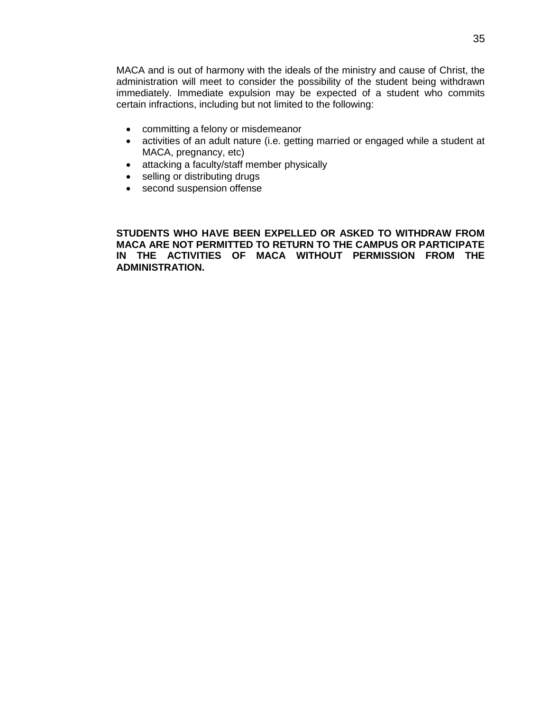MACA and is out of harmony with the ideals of the ministry and cause of Christ, the administration will meet to consider the possibility of the student being withdrawn immediately. Immediate expulsion may be expected of a student who commits certain infractions, including but not limited to the following:

- committing a felony or misdemeanor
- activities of an adult nature (i.e. getting married or engaged while a student at MACA, pregnancy, etc)
- attacking a faculty/staff member physically
- selling or distributing drugs
- second suspension offense

**STUDENTS WHO HAVE BEEN EXPELLED OR ASKED TO WITHDRAW FROM MACA ARE NOT PERMITTED TO RETURN TO THE CAMPUS OR PARTICIPATE IN THE ACTIVITIES OF MACA WITHOUT PERMISSION FROM THE ADMINISTRATION.**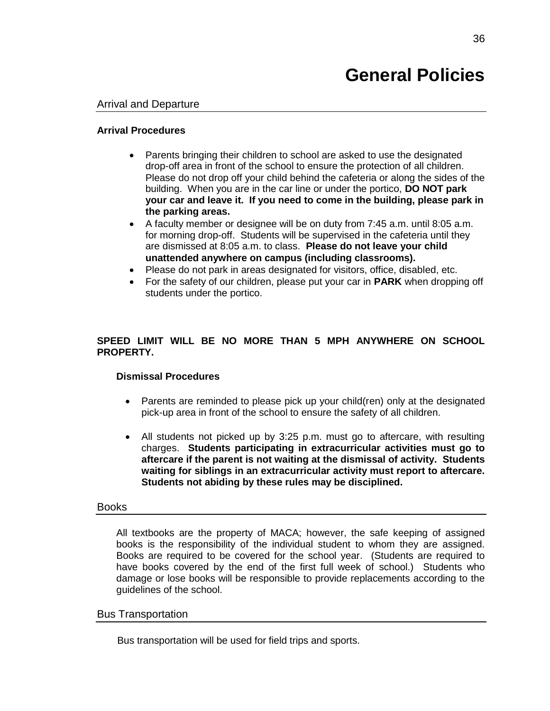# **General Policies**

### <span id="page-35-1"></span><span id="page-35-0"></span>Arrival and Departure

### **Arrival Procedures**

- Parents bringing their children to school are asked to use the designated drop-off area in front of the school to ensure the protection of all children. Please do not drop off your child behind the cafeteria or along the sides of the building. When you are in the car line or under the portico, **DO NOT park your car and leave it. If you need to come in the building, please park in the parking areas.**
- A faculty member or designee will be on duty from 7:45 a.m. until 8:05 a.m. for morning drop-off. Students will be supervised in the cafeteria until they are dismissed at 8:05 a.m. to class. **Please do not leave your child unattended anywhere on campus (including classrooms).**
- Please do not park in areas designated for visitors, office, disabled, etc.
- For the safety of our children, please put your car in **PARK** when dropping off students under the portico.

### **SPEED LIMIT WILL BE NO MORE THAN 5 MPH ANYWHERE ON SCHOOL PROPERTY.**

### **Dismissal Procedures**

- Parents are reminded to please pick up your child(ren) only at the designated pick-up area in front of the school to ensure the safety of all children.
- All students not picked up by 3:25 p.m. must go to aftercare, with resulting charges. **Students participating in extracurricular activities must go to aftercare if the parent is not waiting at the dismissal of activity. Students waiting for siblings in an extracurricular activity must report to aftercare. Students not abiding by these rules may be disciplined.**

### <span id="page-35-2"></span>Books

All textbooks are the property of MACA; however, the safe keeping of assigned books is the responsibility of the individual student to whom they are assigned. Books are required to be covered for the school year. (Students are required to have books covered by the end of the first full week of school.) Students who damage or lose books will be responsible to provide replacements according to the guidelines of the school.

### <span id="page-35-3"></span>Bus Transportation

Bus transportation will be used for field trips and sports.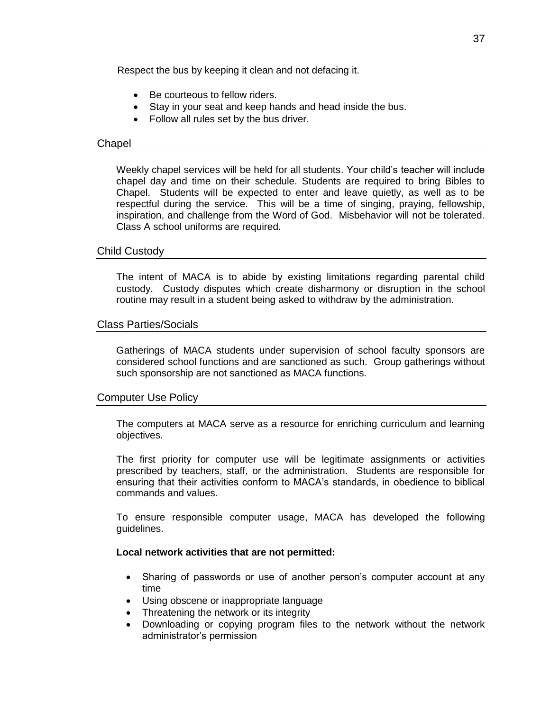Respect the bus by keeping it clean and not defacing it.

- Be courteous to fellow riders.
- Stay in your seat and keep hands and head inside the bus.
- Follow all rules set by the bus driver.

### <span id="page-36-0"></span>Chapel

Weekly chapel services will be held for all students. Your child's teacher will include chapel day and time on their schedule. Students are required to bring Bibles to Chapel. Students will be expected to enter and leave quietly, as well as to be respectful during the service. This will be a time of singing, praying, fellowship, inspiration, and challenge from the Word of God. Misbehavior will not be tolerated. Class A school uniforms are required.

### <span id="page-36-1"></span>Child Custody

The intent of MACA is to abide by existing limitations regarding parental child custody. Custody disputes which create disharmony or disruption in the school routine may result in a student being asked to withdraw by the administration.

### <span id="page-36-2"></span>Class Parties/Socials

Gatherings of MACA students under supervision of school faculty sponsors are considered school functions and are sanctioned as such. Group gatherings without such sponsorship are not sanctioned as MACA functions.

### <span id="page-36-3"></span>Computer Use Policy

The computers at MACA serve as a resource for enriching curriculum and learning objectives.

The first priority for computer use will be legitimate assignments or activities prescribed by teachers, staff, or the administration. Students are responsible for ensuring that their activities conform to MACA's standards, in obedience to biblical commands and values.

To ensure responsible computer usage, MACA has developed the following guidelines.

### **Local network activities that are not permitted:**

- Sharing of passwords or use of another person's computer account at any time
- Using obscene or inappropriate language
- Threatening the network or its integrity
- Downloading or copying program files to the network without the network administrator's permission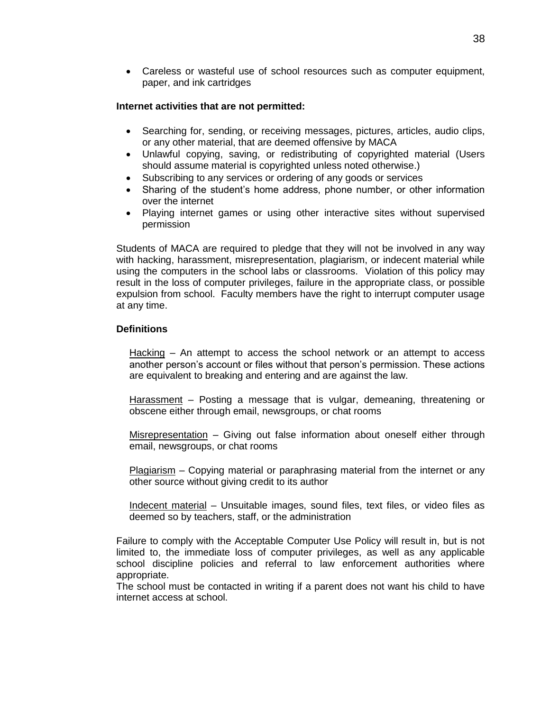Careless or wasteful use of school resources such as computer equipment, paper, and ink cartridges

### **Internet activities that are not permitted:**

- Searching for, sending, or receiving messages, pictures, articles, audio clips, or any other material, that are deemed offensive by MACA
- Unlawful copying, saving, or redistributing of copyrighted material (Users should assume material is copyrighted unless noted otherwise.)
- Subscribing to any services or ordering of any goods or services
- Sharing of the student's home address, phone number, or other information over the internet
- Playing internet games or using other interactive sites without supervised permission

Students of MACA are required to pledge that they will not be involved in any way with hacking, harassment, misrepresentation, plagiarism, or indecent material while using the computers in the school labs or classrooms. Violation of this policy may result in the loss of computer privileges, failure in the appropriate class, or possible expulsion from school. Faculty members have the right to interrupt computer usage at any time.

### **Definitions**

Hacking – An attempt to access the school network or an attempt to access another person's account or files without that person's permission. These actions are equivalent to breaking and entering and are against the law.

Harassment – Posting a message that is vulgar, demeaning, threatening or obscene either through email, newsgroups, or chat rooms

Misrepresentation – Giving out false information about oneself either through email, newsgroups, or chat rooms

Plagiarism – Copying material or paraphrasing material from the internet or any other source without giving credit to its author

Indecent material – Unsuitable images, sound files, text files, or video files as deemed so by teachers, staff, or the administration

Failure to comply with the Acceptable Computer Use Policy will result in, but is not limited to, the immediate loss of computer privileges, as well as any applicable school discipline policies and referral to law enforcement authorities where appropriate.

The school must be contacted in writing if a parent does not want his child to have internet access at school.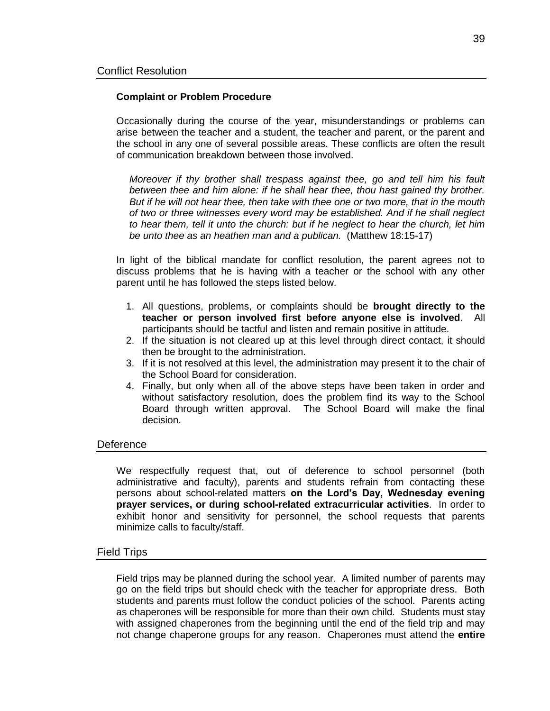### <span id="page-38-0"></span>**Complaint or Problem Procedure**

Occasionally during the course of the year, misunderstandings or problems can arise between the teacher and a student, the teacher and parent, or the parent and the school in any one of several possible areas. These conflicts are often the result of communication breakdown between those involved.

*Moreover if thy brother shall trespass against thee, go and tell him his fault between thee and him alone: if he shall hear thee, thou hast gained thy brother. But if he will not hear thee, then take with thee one or two more, that in the mouth of two or three witnesses every word may be established. And if he shall neglect to hear them, tell it unto the church: but if he neglect to hear the church, let him be unto thee as an heathen man and a publican.* (Matthew 18:15-17)

In light of the biblical mandate for conflict resolution, the parent agrees not to discuss problems that he is having with a teacher or the school with any other parent until he has followed the steps listed below.

- 1. All questions, problems, or complaints should be **brought directly to the teacher or person involved first before anyone else is involved**. All participants should be tactful and listen and remain positive in attitude.
- 2. If the situation is not cleared up at this level through direct contact, it should then be brought to the administration.
- 3. If it is not resolved at this level, the administration may present it to the chair of the School Board for consideration.
- 4. Finally, but only when all of the above steps have been taken in order and without satisfactory resolution, does the problem find its way to the School Board through written approval. The School Board will make the final decision.

### <span id="page-38-1"></span>**Deference**

We respectfully request that, out of deference to school personnel (both administrative and faculty), parents and students refrain from contacting these persons about school-related matters **on the Lord's Day, Wednesday evening prayer services, or during school-related extracurricular activities**. In order to exhibit honor and sensitivity for personnel, the school requests that parents minimize calls to faculty/staff.

### <span id="page-38-2"></span>Field Trips

Field trips may be planned during the school year. A limited number of parents may go on the field trips but should check with the teacher for appropriate dress. Both students and parents must follow the conduct policies of the school. Parents acting as chaperones will be responsible for more than their own child. Students must stay with assigned chaperones from the beginning until the end of the field trip and may not change chaperone groups for any reason. Chaperones must attend the **entire**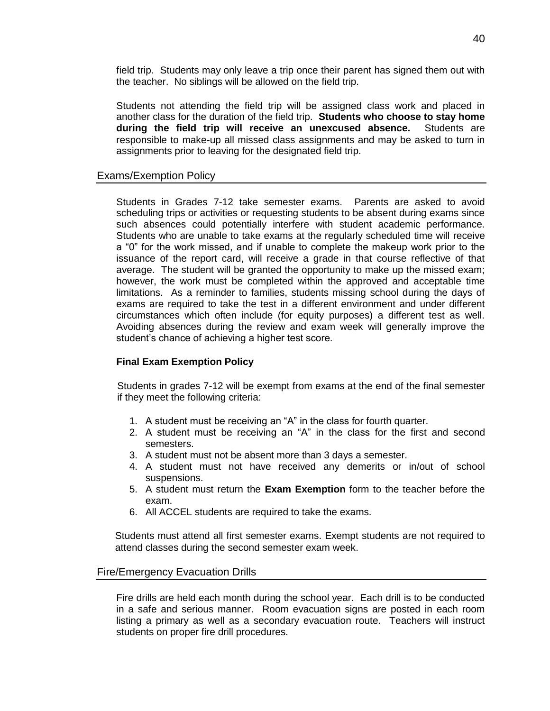field trip. Students may only leave a trip once their parent has signed them out with the teacher. No siblings will be allowed on the field trip.

Students not attending the field trip will be assigned class work and placed in another class for the duration of the field trip. **Students who choose to stay home during the field trip will receive an unexcused absence.** Students are responsible to make-up all missed class assignments and may be asked to turn in assignments prior to leaving for the designated field trip.

### <span id="page-39-0"></span>Exams/Exemption Policy

Students in Grades 7-12 take semester exams. Parents are asked to avoid scheduling trips or activities or requesting students to be absent during exams since such absences could potentially interfere with student academic performance. Students who are unable to take exams at the regularly scheduled time will receive a "0" for the work missed, and if unable to complete the makeup work prior to the issuance of the report card, will receive a grade in that course reflective of that average. The student will be granted the opportunity to make up the missed exam; however, the work must be completed within the approved and acceptable time limitations. As a reminder to families, students missing school during the days of exams are required to take the test in a different environment and under different circumstances which often include (for equity purposes) a different test as well. Avoiding absences during the review and exam week will generally improve the student's chance of achieving a higher test score.

### **Final Exam Exemption Policy**

Students in grades 7-12 will be exempt from exams at the end of the final semester if they meet the following criteria:

- 1. A student must be receiving an "A" in the class for fourth quarter.
- 2. A student must be receiving an "A" in the class for the first and second semesters.
- 3. A student must not be absent more than 3 days a semester.
- 4. A student must not have received any demerits or in/out of school suspensions.
- 5. A student must return the **Exam Exemption** form to the teacher before the exam.
- 6. All ACCEL students are required to take the exams.

Students must attend all first semester exams. Exempt students are not required to attend classes during the second semester exam week.

### <span id="page-39-1"></span>Fire/Emergency Evacuation Drills

Fire drills are held each month during the school year. Each drill is to be conducted in a safe and serious manner. Room evacuation signs are posted in each room listing a primary as well as a secondary evacuation route. Teachers will instruct students on proper fire drill procedures.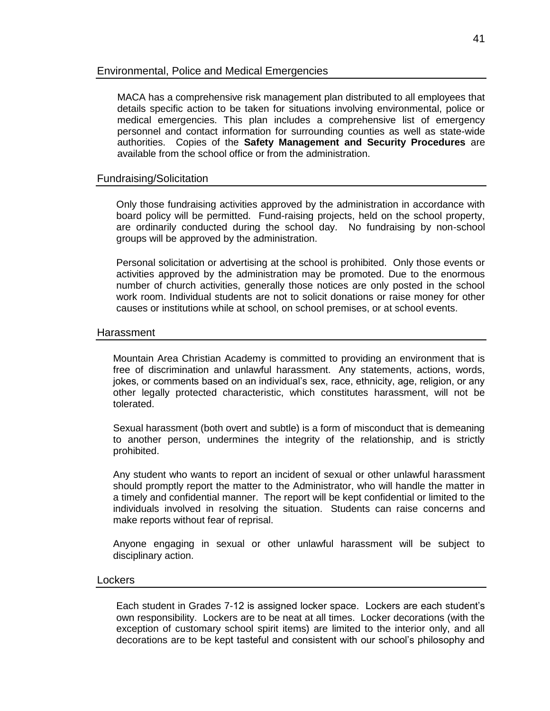### <span id="page-40-0"></span>Environmental, Police and Medical Emergencies

MACA has a comprehensive risk management plan distributed to all employees that details specific action to be taken for situations involving environmental, police or medical emergencies. This plan includes a comprehensive list of emergency personnel and contact information for surrounding counties as well as state-wide authorities. Copies of the **Safety Management and Security Procedures** are available from the school office or from the administration.

### <span id="page-40-1"></span>Fundraising/Solicitation

Only those fundraising activities approved by the administration in accordance with board policy will be permitted. Fund-raising projects, held on the school property, are ordinarily conducted during the school day. No fundraising by non-school groups will be approved by the administration.

Personal solicitation or advertising at the school is prohibited. Only those events or activities approved by the administration may be promoted. Due to the enormous number of church activities, generally those notices are only posted in the school work room. Individual students are not to solicit donations or raise money for other causes or institutions while at school, on school premises, or at school events.

### <span id="page-40-2"></span>**Harassment**

Mountain Area Christian Academy is committed to providing an environment that is free of discrimination and unlawful harassment. Any statements, actions, words, jokes, or comments based on an individual's sex, race, ethnicity, age, religion, or any other legally protected characteristic, which constitutes harassment, will not be tolerated.

Sexual harassment (both overt and subtle) is a form of misconduct that is demeaning to another person, undermines the integrity of the relationship, and is strictly prohibited.

Any student who wants to report an incident of sexual or other unlawful harassment should promptly report the matter to the Administrator, who will handle the matter in a timely and confidential manner. The report will be kept confidential or limited to the individuals involved in resolving the situation. Students can raise concerns and make reports without fear of reprisal.

Anyone engaging in sexual or other unlawful harassment will be subject to disciplinary action.

### <span id="page-40-3"></span>Lockers

Each student in Grades 7-12 is assigned locker space. Lockers are each student's own responsibility. Lockers are to be neat at all times. Locker decorations (with the exception of customary school spirit items) are limited to the interior only, and all decorations are to be kept tasteful and consistent with our school's philosophy and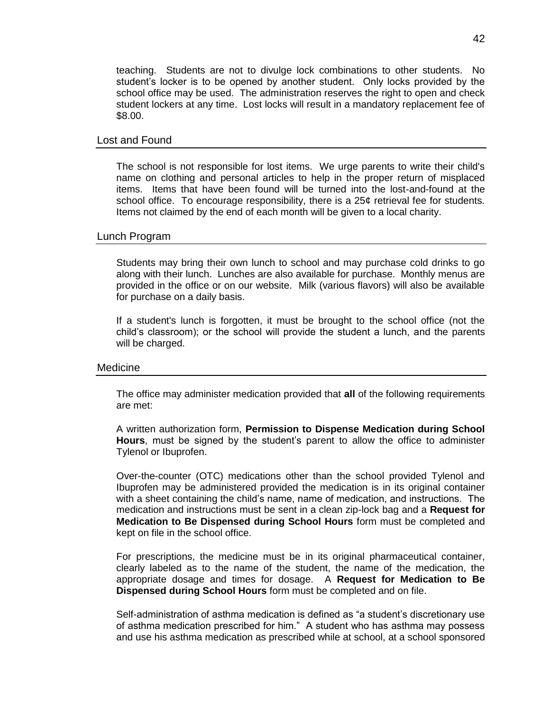teaching. Students are not to divulge lock combinations to other students. No student's locker is to be opened by another student. Only locks provided by the school office may be used. The administration reserves the right to open and check student lockers at any time. Lost locks will result in a mandatory replacement fee of \$8.00.

### <span id="page-41-0"></span>Lost and Found

The school is not responsible for lost items. We urge parents to write their child's name on clothing and personal articles to help in the proper return of misplaced items. Items that have been found will be turned into the lost-and-found at the school office. To encourage responsibility, there is a 25¢ retrieval fee for students. Items not claimed by the end of each month will be given to a local charity.

### <span id="page-41-1"></span>Lunch Program

Students may bring their own lunch to school and may purchase cold drinks to go along with their lunch. Lunches are also available for purchase. Monthly menus are provided in the office or on our website. Milk (various flavors) will also be available for purchase on a daily basis.

If a student's lunch is forgotten, it must be brought to the school office (not the child's classroom); or the school will provide the student a lunch, and the parents will be charged.

### <span id="page-41-2"></span>Medicine

The office may administer medication provided that **all** of the following requirements are met:

A written authorization form, **Permission to Dispense Medication during School Hours**, must be signed by the student's parent to allow the office to administer Tylenol or Ibuprofen.

Over-the-counter (OTC) medications other than the school provided Tylenol and Ibuprofen may be administered provided the medication is in its original container with a sheet containing the child's name, name of medication, and instructions. The medication and instructions must be sent in a clean zip-lock bag and a **Request for Medication to Be Dispensed during School Hours** form must be completed and kept on file in the school office.

For prescriptions, the medicine must be in its original pharmaceutical container, clearly labeled as to the name of the student, the name of the medication, the appropriate dosage and times for dosage. A **Request for Medication to Be Dispensed during School Hours** form must be completed and on file.

Self-administration of asthma medication is defined as "a student's discretionary use of asthma medication prescribed for him." A student who has asthma may possess and use his asthma medication as prescribed while at school, at a school sponsored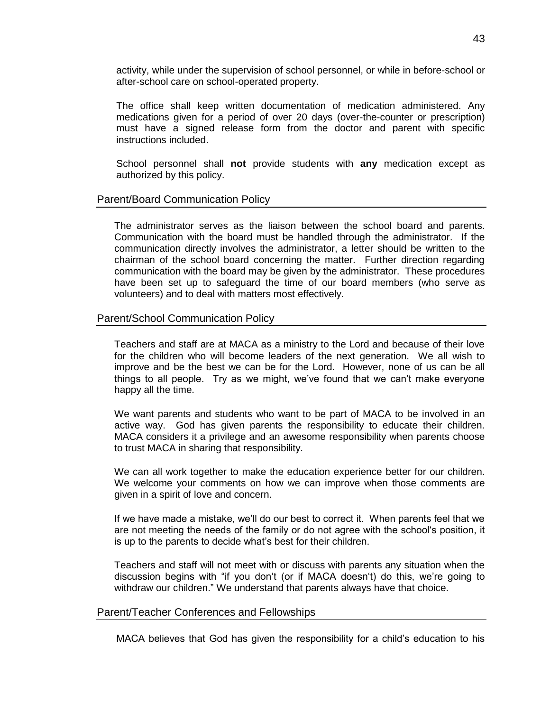activity, while under the supervision of school personnel, or while in before-school or after-school care on school-operated property.

The office shall keep written documentation of medication administered. Any medications given for a period of over 20 days (over-the-counter or prescription) must have a signed release form from the doctor and parent with specific instructions included.

School personnel shall **not** provide students with **any** medication except as authorized by this policy.

### <span id="page-42-0"></span>Parent/Board Communication Policy

The administrator serves as the liaison between the school board and parents. Communication with the board must be handled through the administrator. If the communication directly involves the administrator, a letter should be written to the chairman of the school board concerning the matter. Further direction regarding communication with the board may be given by the administrator. These procedures have been set up to safeguard the time of our board members (who serve as volunteers) and to deal with matters most effectively.

### <span id="page-42-1"></span>Parent/School Communication Policy

Teachers and staff are at MACA as a ministry to the Lord and because of their love for the children who will become leaders of the next generation. We all wish to improve and be the best we can be for the Lord. However, none of us can be all things to all people. Try as we might, we've found that we can't make everyone happy all the time.

We want parents and students who want to be part of MACA to be involved in an active way. God has given parents the responsibility to educate their children. MACA considers it a privilege and an awesome responsibility when parents choose to trust MACA in sharing that responsibility.

We can all work together to make the education experience better for our children. We welcome your comments on how we can improve when those comments are given in a spirit of love and concern.

If we have made a mistake, we'll do our best to correct it. When parents feel that we are not meeting the needs of the family or do not agree with the school's position, it is up to the parents to decide what's best for their children.

Teachers and staff will not meet with or discuss with parents any situation when the discussion begins with "if you don't (or if MACA doesn't) do this, we're going to withdraw our children." We understand that parents always have that choice.

### <span id="page-42-2"></span>Parent/Teacher Conferences and Fellowships

MACA believes that God has given the responsibility for a child's education to his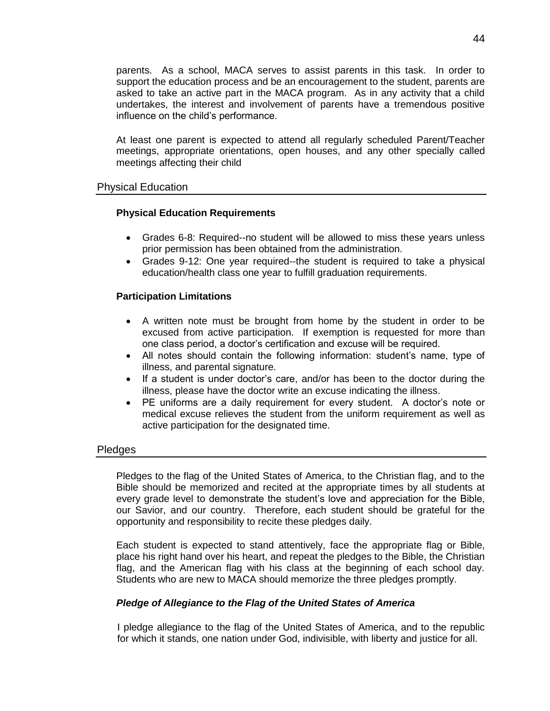parents. As a school, MACA serves to assist parents in this task. In order to support the education process and be an encouragement to the student, parents are asked to take an active part in the MACA program. As in any activity that a child undertakes, the interest and involvement of parents have a tremendous positive influence on the child's performance.

At least one parent is expected to attend all regularly scheduled Parent/Teacher meetings, appropriate orientations, open houses, and any other specially called meetings affecting their child

### <span id="page-43-0"></span>Physical Education

### **Physical Education Requirements**

- Grades 6-8: Required--no student will be allowed to miss these years unless prior permission has been obtained from the administration.
- Grades 9-12: One year required--the student is required to take a physical education/health class one year to fulfill graduation requirements.

### **Participation Limitations**

- A written note must be brought from home by the student in order to be excused from active participation. If exemption is requested for more than one class period, a doctor's certification and excuse will be required.
- All notes should contain the following information: student's name, type of illness, and parental signature.
- If a student is under doctor's care, and/or has been to the doctor during the illness, please have the doctor write an excuse indicating the illness.
- PE uniforms are a daily requirement for every student. A doctor's note or medical excuse relieves the student from the uniform requirement as well as active participation for the designated time.

### <span id="page-43-1"></span>**Pledges**

Pledges to the flag of the United States of America, to the Christian flag, and to the Bible should be memorized and recited at the appropriate times by all students at every grade level to demonstrate the student's love and appreciation for the Bible, our Savior, and our country. Therefore, each student should be grateful for the opportunity and responsibility to recite these pledges daily.

Each student is expected to stand attentively, face the appropriate flag or Bible, place his right hand over his heart, and repeat the pledges to the Bible, the Christian flag, and the American flag with his class at the beginning of each school day. Students who are new to MACA should memorize the three pledges promptly.

### *Pledge of Allegiance to the Flag of the United States of America*

I pledge allegiance to the flag of the United States of America, and to the republic for which it stands, one nation under God, indivisible, with liberty and justice for all.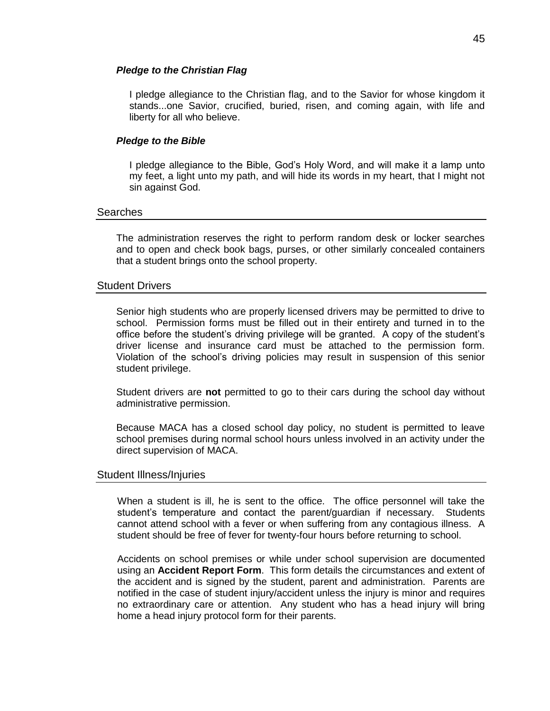### *Pledge to the Christian Flag*

I pledge allegiance to the Christian flag, and to the Savior for whose kingdom it stands...one Savior, crucified, buried, risen, and coming again, with life and liberty for all who believe.

### *Pledge to the Bible*

I pledge allegiance to the Bible, God's Holy Word, and will make it a lamp unto my feet, a light unto my path, and will hide its words in my heart, that I might not sin against God.

### <span id="page-44-0"></span>Searches

The administration reserves the right to perform random desk or locker searches and to open and check book bags, purses, or other similarly concealed containers that a student brings onto the school property.

### <span id="page-44-1"></span>Student Drivers

Senior high students who are properly licensed drivers may be permitted to drive to school. Permission forms must be filled out in their entirety and turned in to the office before the student's driving privilege will be granted. A copy of the student's driver license and insurance card must be attached to the permission form. Violation of the school's driving policies may result in suspension of this senior student privilege.

Student drivers are **not** permitted to go to their cars during the school day without administrative permission.

Because MACA has a closed school day policy, no student is permitted to leave school premises during normal school hours unless involved in an activity under the direct supervision of MACA.

### <span id="page-44-2"></span>Student Illness/Injuries

When a student is ill, he is sent to the office. The office personnel will take the student's temperature and contact the parent/guardian if necessary. Students cannot attend school with a fever or when suffering from any contagious illness. A student should be free of fever for twenty-four hours before returning to school.

Accidents on school premises or while under school supervision are documented using an **Accident Report Form**. This form details the circumstances and extent of the accident and is signed by the student, parent and administration. Parents are notified in the case of student injury/accident unless the injury is minor and requires no extraordinary care or attention. Any student who has a head injury will bring home a head injury protocol form for their parents.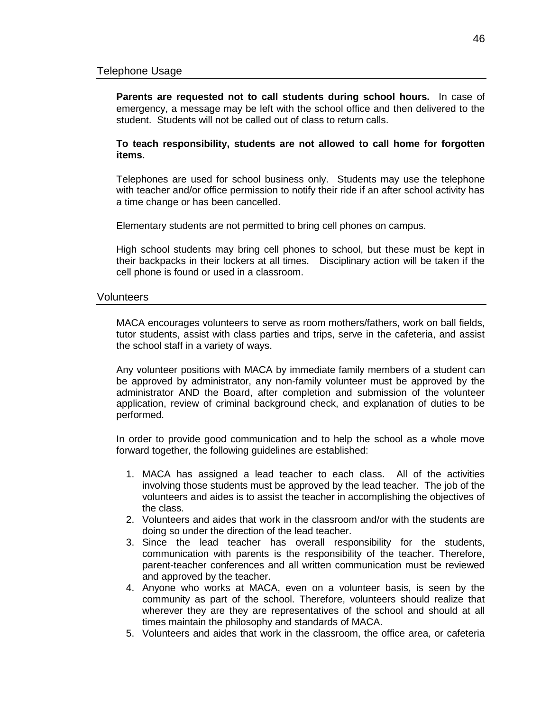<span id="page-45-0"></span>**Parents are requested not to call students during school hours.** In case of emergency, a message may be left with the school office and then delivered to the student. Students will not be called out of class to return calls.

**To teach responsibility, students are not allowed to call home for forgotten items.**

Telephones are used for school business only. Students may use the telephone with teacher and/or office permission to notify their ride if an after school activity has a time change or has been cancelled.

Elementary students are not permitted to bring cell phones on campus.

High school students may bring cell phones to school, but these must be kept in their backpacks in their lockers at all times. Disciplinary action will be taken if the cell phone is found or used in a classroom.

### <span id="page-45-1"></span>**Volunteers**

MACA encourages volunteers to serve as room mothers/fathers, work on ball fields, tutor students, assist with class parties and trips, serve in the cafeteria, and assist the school staff in a variety of ways.

Any volunteer positions with MACA by immediate family members of a student can be approved by administrator, any non-family volunteer must be approved by the administrator AND the Board, after completion and submission of the volunteer application, review of criminal background check, and explanation of duties to be performed.

In order to provide good communication and to help the school as a whole move forward together, the following guidelines are established:

- 1. MACA has assigned a lead teacher to each class. All of the activities involving those students must be approved by the lead teacher. The job of the volunteers and aides is to assist the teacher in accomplishing the objectives of the class.
- 2. Volunteers and aides that work in the classroom and/or with the students are doing so under the direction of the lead teacher.
- 3. Since the lead teacher has overall responsibility for the students, communication with parents is the responsibility of the teacher. Therefore, parent-teacher conferences and all written communication must be reviewed and approved by the teacher.
- 4. Anyone who works at MACA, even on a volunteer basis, is seen by the community as part of the school. Therefore, volunteers should realize that wherever they are they are representatives of the school and should at all times maintain the philosophy and standards of MACA.
- 5. Volunteers and aides that work in the classroom, the office area, or cafeteria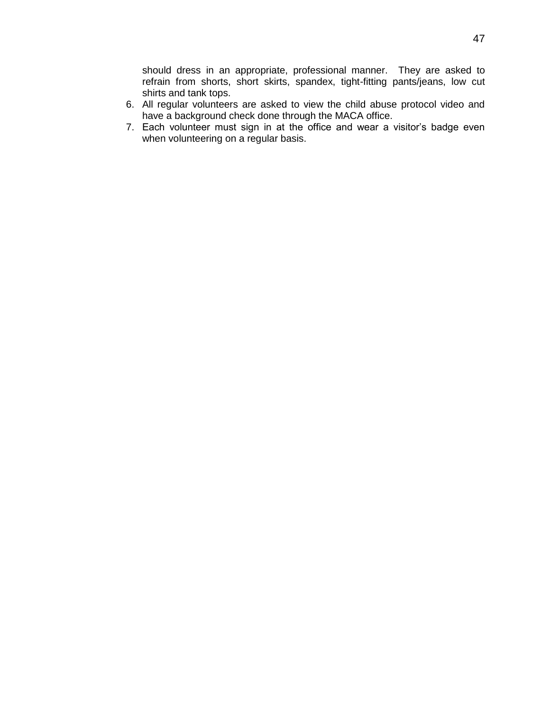should dress in an appropriate, professional manner. They are asked to refrain from shorts, short skirts, spandex, tight-fitting pants/jeans, low cut shirts and tank tops.

- 6. All regular volunteers are asked to view the child abuse protocol video and have a background check done through the MACA office.
- 7. Each volunteer must sign in at the office and wear a visitor's badge even when volunteering on a regular basis.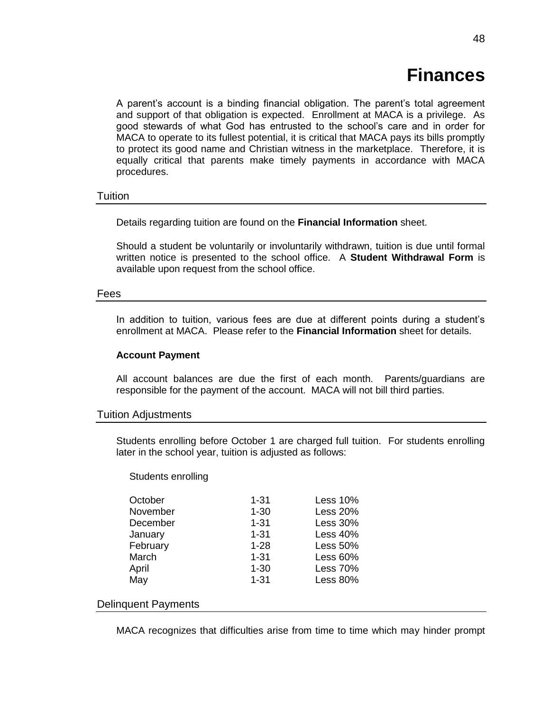# **Finances**

<span id="page-47-0"></span>A parent's account is a binding financial obligation. The parent's total agreement and support of that obligation is expected. Enrollment at MACA is a privilege. As good stewards of what God has entrusted to the school's care and in order for MACA to operate to its fullest potential, it is critical that MACA pays its bills promptly to protect its good name and Christian witness in the marketplace. Therefore, it is equally critical that parents make timely payments in accordance with MACA procedures.

### <span id="page-47-1"></span>**Tuition**

Details regarding tuition are found on the **Financial Information** sheet.

Should a student be voluntarily or involuntarily withdrawn, tuition is due until formal written notice is presented to the school office. A **Student Withdrawal Form** is available upon request from the school office.

#### <span id="page-47-2"></span>Fees

In addition to tuition, various fees are due at different points during a student's enrollment at MACA. Please refer to the **Financial Information** sheet for details.

### **Account Payment**

All account balances are due the first of each month. Parents/guardians are responsible for the payment of the account. MACA will not bill third parties.

### <span id="page-47-3"></span>Tuition Adjustments

Students enrolling before October 1 are charged full tuition. For students enrolling later in the school year, tuition is adjusted as follows:

#### Students enrolling

| October  | $1 - 31$ | <b>Less 10%</b> |
|----------|----------|-----------------|
| November | $1 - 30$ | <b>Less 20%</b> |
| December | $1 - 31$ | <b>Less 30%</b> |
| January  | $1 - 31$ | <b>Less 40%</b> |
| February | $1 - 28$ | <b>Less 50%</b> |
| March    | $1 - 31$ | Less $60%$      |
| April    | $1 - 30$ | <b>Less 70%</b> |
| May      | $1 - 31$ | <b>Less 80%</b> |
|          |          |                 |

### <span id="page-47-4"></span>Delinquent Payments

MACA recognizes that difficulties arise from time to time which may hinder prompt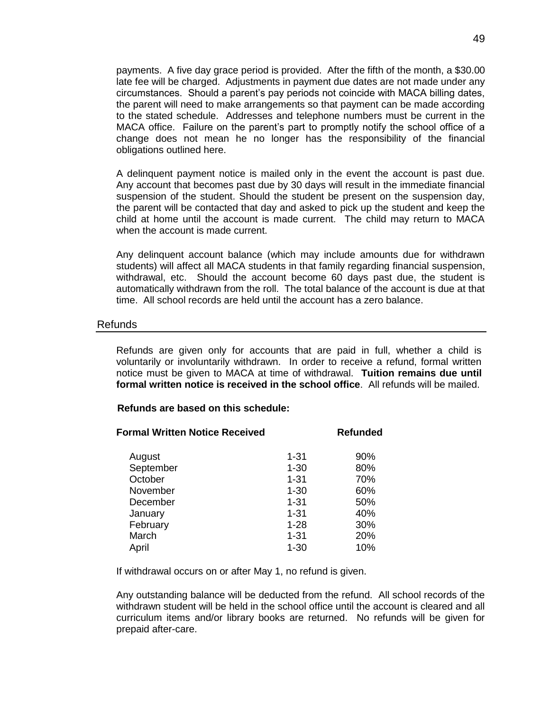payments. A five day grace period is provided. After the fifth of the month, a \$30.00 late fee will be charged. Adjustments in payment due dates are not made under any circumstances. Should a parent's pay periods not coincide with MACA billing dates, the parent will need to make arrangements so that payment can be made according to the stated schedule. Addresses and telephone numbers must be current in the MACA office. Failure on the parent's part to promptly notify the school office of a change does not mean he no longer has the responsibility of the financial obligations outlined here.

A delinquent payment notice is mailed only in the event the account is past due. Any account that becomes past due by 30 days will result in the immediate financial suspension of the student. Should the student be present on the suspension day, the parent will be contacted that day and asked to pick up the student and keep the child at home until the account is made current. The child may return to MACA when the account is made current.

Any delinquent account balance (which may include amounts due for withdrawn students) will affect all MACA students in that family regarding financial suspension, withdrawal, etc. Should the account become 60 days past due, the student is automatically withdrawn from the roll. The total balance of the account is due at that time. All school records are held until the account has a zero balance.

### <span id="page-48-0"></span>Refunds

Refunds are given only for accounts that are paid in full, whether a child is voluntarily or involuntarily withdrawn. In order to receive a refund, formal written notice must be given to MACA at time of withdrawal. **Tuition remains due until formal written notice is received in the school office**. All refunds will be mailed.

### **Refunds are based on this schedule:**

| <b>Formal Written Notice Received</b> |          | <b>Refunded</b> |
|---------------------------------------|----------|-----------------|
| August                                | 1-31     | 90%             |
| September                             | $1 - 30$ | 80%             |
| October                               | $1 - 31$ | 70%             |
| November                              | $1 - 30$ | 60%             |
| December                              | $1 - 31$ | 50%             |
| January                               | $1 - 31$ | 40%             |
| February                              | $1 - 28$ | 30%             |
| March                                 | $1 - 31$ | 20%             |
| April                                 | $1 - 30$ | 10%             |
|                                       |          |                 |

If withdrawal occurs on or after May 1, no refund is given.

Any outstanding balance will be deducted from the refund. All school records of the withdrawn student will be held in the school office until the account is cleared and all curriculum items and/or library books are returned. No refunds will be given for prepaid after-care.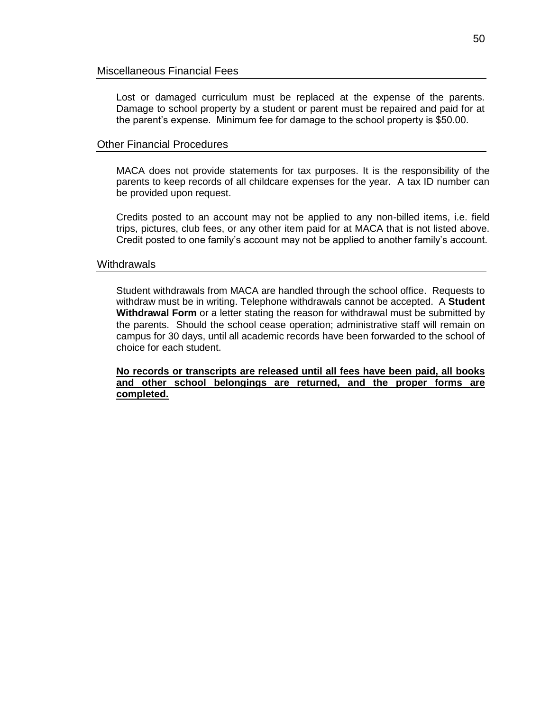<span id="page-49-0"></span>Lost or damaged curriculum must be replaced at the expense of the parents. Damage to school property by a student or parent must be repaired and paid for at the parent's expense. Minimum fee for damage to the school property is \$50.00.

### <span id="page-49-1"></span>Other Financial Procedures

MACA does not provide statements for tax purposes. It is the responsibility of the parents to keep records of all childcare expenses for the year. A tax ID number can be provided upon request.

Credits posted to an account may not be applied to any non-billed items, i.e. field trips, pictures, club fees, or any other item paid for at MACA that is not listed above. Credit posted to one family's account may not be applied to another family's account.

### <span id="page-49-2"></span>**Withdrawals**

Student withdrawals from MACA are handled through the school office. Requests to withdraw must be in writing. Telephone withdrawals cannot be accepted. A **Student Withdrawal Form** or a letter stating the reason for withdrawal must be submitted by the parents. Should the school cease operation; administrative staff will remain on campus for 30 days, until all academic records have been forwarded to the school of choice for each student.

**No records or transcripts are released until all fees have been paid, all books and other school belongings are returned, and the proper forms are completed.**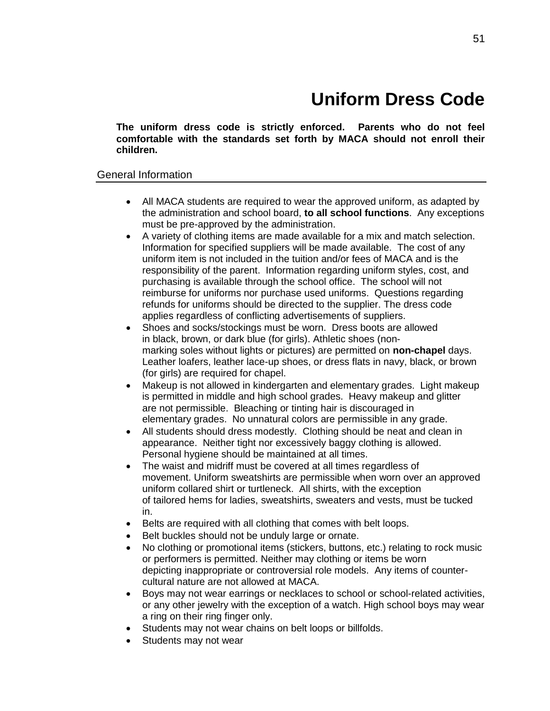# **Uniform Dress Code**

<span id="page-50-0"></span>**The uniform dress code is strictly enforced. Parents who do not feel comfortable with the standards set forth by MACA should not enroll their children.**

### <span id="page-50-1"></span>General Information

- All MACA students are required to wear the approved uniform, as adapted by the administration and school board, **to all school functions**. Any exceptions must be pre-approved by the administration.
- A variety of clothing items are made available for a mix and match selection. Information for specified suppliers will be made available. The cost of any uniform item is not included in the tuition and/or fees of MACA and is the responsibility of the parent. Information regarding uniform styles, cost, and purchasing is available through the school office. The school will not reimburse for uniforms nor purchase used uniforms. Questions regarding refunds for uniforms should be directed to the supplier. The dress code applies regardless of conflicting advertisements of suppliers.
- Shoes and socks/stockings must be worn. Dress boots are allowed in black, brown, or dark blue (for girls). Athletic shoes (nonmarking soles without lights or pictures) are permitted on **non-chapel** days. Leather loafers, leather lace-up shoes, or dress flats in navy, black, or brown (for girls) are required for chapel.
- Makeup is not allowed in kindergarten and elementary grades. Light makeup is permitted in middle and high school grades. Heavy makeup and glitter are not permissible. Bleaching or tinting hair is discouraged in elementary grades. No unnatural colors are permissible in any grade.
- All students should dress modestly. Clothing should be neat and clean in appearance. Neither tight nor excessively baggy clothing is allowed. Personal hygiene should be maintained at all times.
- The waist and midriff must be covered at all times regardless of movement. Uniform sweatshirts are permissible when worn over an approved uniform collared shirt or turtleneck. All shirts, with the exception of tailored hems for ladies, sweatshirts, sweaters and vests, must be tucked in.
- Belts are required with all clothing that comes with belt loops.
- Belt buckles should not be unduly large or ornate.
- No clothing or promotional items (stickers, buttons, etc.) relating to rock music or performers is permitted. Neither may clothing or items be worn depicting inappropriate or controversial role models. Any items of countercultural nature are not allowed at MACA.
- Boys may not wear earrings or necklaces to school or school-related activities, or any other jewelry with the exception of a watch. High school boys may wear a ring on their ring finger only.
- Students may not wear chains on belt loops or billfolds.
- Students may not wear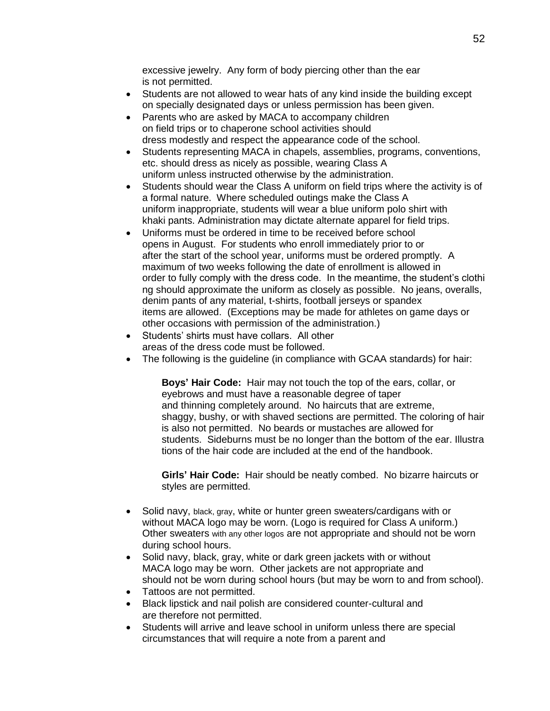excessive jewelry. Any form of body piercing other than the ear is not permitted.

- Students are not allowed to wear hats of any kind inside the building except on specially designated days or unless permission has been given.
- Parents who are asked by MACA to accompany children on field trips or to chaperone school activities should dress modestly and respect the appearance code of the school.
- Students representing MACA in chapels, assemblies, programs, conventions, etc. should dress as nicely as possible, wearing Class A uniform unless instructed otherwise by the administration.
- Students should wear the Class A uniform on field trips where the activity is of a formal nature. Where scheduled outings make the Class A uniform inappropriate, students will wear a blue uniform polo shirt with khaki pants. Administration may dictate alternate apparel for field trips.
- Uniforms must be ordered in time to be received before school opens in August. For students who enroll immediately prior to or after the start of the school year, uniforms must be ordered promptly. A maximum of two weeks following the date of enrollment is allowed in order to fully comply with the dress code. In the meantime, the student's clothi ng should approximate the uniform as closely as possible. No jeans, overalls, denim pants of any material, t-shirts, football jerseys or spandex items are allowed. (Exceptions may be made for athletes on game days or other occasions with permission of the administration.)
- Students' shirts must have collars. All other areas of the dress code must be followed.
- The following is the guideline (in compliance with GCAA standards) for hair:

**Boys' Hair Code:** Hair may not touch the top of the ears, collar, or eyebrows and must have a reasonable degree of taper and thinning completely around. No haircuts that are extreme, shaggy, bushy, or with shaved sections are permitted. The coloring of hair is also not permitted. No beards or mustaches are allowed for students. Sideburns must be no longer than the bottom of the ear. Illustra tions of the hair code are included at the end of the handbook.

**Girls' Hair Code:** Hair should be neatly combed. No bizarre haircuts or styles are permitted.

- Solid navy, black, gray, white or hunter green sweaters/cardigans with or without MACA logo may be worn. (Logo is required for Class A uniform.) Other sweaters with any other logos are not appropriate and should not be worn during school hours.
- Solid navy, black, gray, white or dark green jackets with or without MACA logo may be worn. Other jackets are not appropriate and should not be worn during school hours (but may be worn to and from school).
- Tattoos are not permitted.
- Black lipstick and nail polish are considered counter-cultural and are therefore not permitted.
- Students will arrive and leave school in uniform unless there are special circumstances that will require a note from a parent and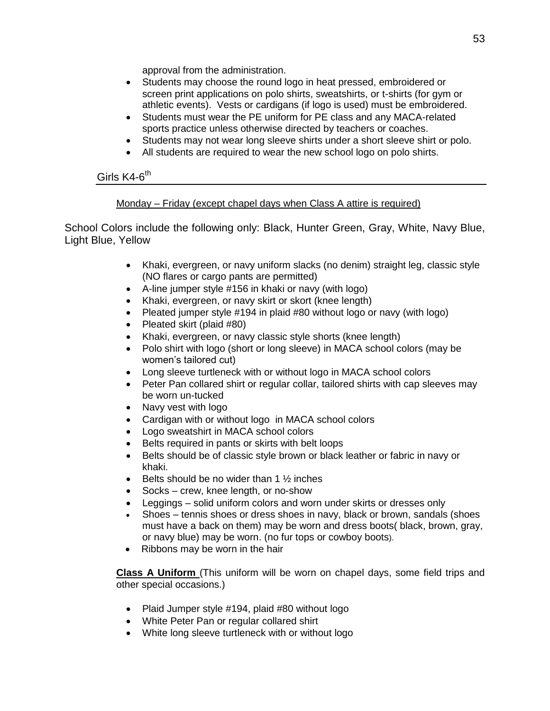approval from the administration.

- Students may choose the round logo in heat pressed, embroidered or screen print applications on polo shirts, sweatshirts, or t-shirts (for gym or athletic events). Vests or cardigans (if logo is used) must be embroidered.
- Students must wear the PE uniform for PE class and any MACA-related sports practice unless otherwise directed by teachers or coaches.
- Students may not wear long sleeve shirts under a short sleeve shirt or polo.
- All students are required to wear the new school logo on polo shirts.

### <span id="page-52-0"></span>Girls K4-6<sup>th</sup>

### Monday – Friday (except chapel days when Class A attire is required)

School Colors include the following only: Black, Hunter Green, Gray, White, Navy Blue, Light Blue, Yellow

- Khaki, evergreen, or navy uniform slacks (no denim) straight leg, classic style (NO flares or cargo pants are permitted)
- A-line jumper style #156 in khaki or navy (with logo)
- Khaki, evergreen, or navy skirt or skort (knee length)
- Pleated jumper style #194 in plaid #80 without logo or navy (with logo)
- Pleated skirt (plaid #80)
- Khaki, evergreen, or navy classic style shorts (knee length)
- Polo shirt with logo (short or long sleeve) in MACA school colors (may be women's tailored cut)
- Long sleeve turtleneck with or without logo in MACA school colors
- Peter Pan collared shirt or regular collar, tailored shirts with cap sleeves may be worn un-tucked
- Navy vest with logo
- Cardigan with or without logo in MACA school colors
- Logo sweatshirt in MACA school colors
- Belts required in pants or skirts with belt loops
- Belts should be of classic style brown or black leather or fabric in navy or khaki.
- **Belts should be no wider than 1**  $\frac{1}{2}$  inches
- Socks crew, knee length, or no-show
- Leggings solid uniform colors and worn under skirts or dresses only
- Shoes tennis shoes or dress shoes in navy, black or brown, sandals (shoes must have a back on them) may be worn and dress boots( black, brown, gray, or navy blue) may be worn. (no fur tops or cowboy boots).
- Ribbons may be worn in the hair

**Class A Uniform** (This uniform will be worn on chapel days, some field trips and other special occasions.)

- Plaid Jumper style #194, plaid #80 without logo
- White Peter Pan or regular collared shirt
- White long sleeve turtleneck with or without logo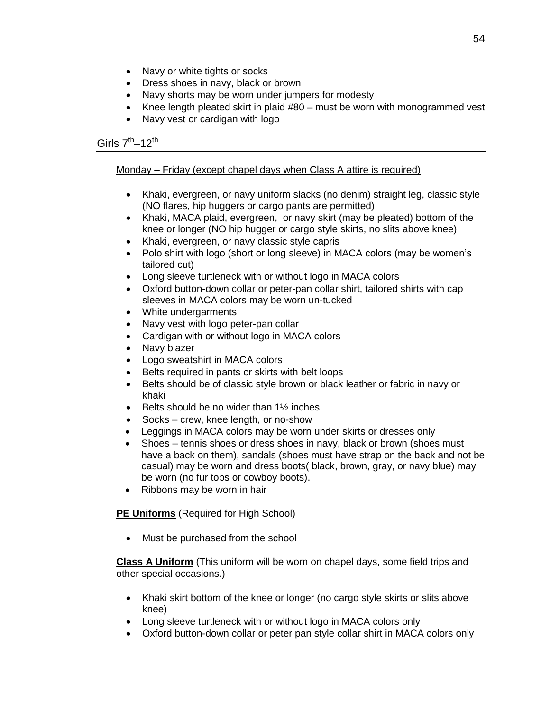- Navy or white tights or socks
- Dress shoes in navy, black or brown
- Navy shorts may be worn under jumpers for modesty
- Knee length pleated skirt in plaid #80 must be worn with monogrammed vest
- Navy vest or cardigan with logo

### <span id="page-53-0"></span>Girls 7<sup>th</sup>–12<sup>th</sup>

### Monday – Friday (except chapel days when Class A attire is required)

- Khaki, evergreen, or navy uniform slacks (no denim) straight leg, classic style (NO flares, hip huggers or cargo pants are permitted)
- Khaki, MACA plaid, evergreen, or navy skirt (may be pleated) bottom of the knee or longer (NO hip hugger or cargo style skirts, no slits above knee)
- Khaki, evergreen, or navy classic style capris
- Polo shirt with logo (short or long sleeve) in MACA colors (may be women's tailored cut)
- Long sleeve turtleneck with or without logo in MACA colors
- Oxford button-down collar or peter-pan collar shirt, tailored shirts with cap sleeves in MACA colors may be worn un-tucked
- White undergarments
- Navy vest with logo peter-pan collar
- Cardigan with or without logo in MACA colors
- Navy blazer
- Logo sweatshirt in MACA colors
- Belts required in pants or skirts with belt loops
- Belts should be of classic style brown or black leather or fabric in navy or khaki
- $\bullet$  Belts should be no wider than 1½ inches
- Socks crew, knee length, or no-show
- Leggings in MACA colors may be worn under skirts or dresses only
- Shoes tennis shoes or dress shoes in navy, black or brown (shoes must have a back on them), sandals (shoes must have strap on the back and not be casual) may be worn and dress boots( black, brown, gray, or navy blue) may be worn (no fur tops or cowboy boots).
- Ribbons may be worn in hair

### **PE Uniforms** (Required for High School)

• Must be purchased from the school

**Class A Uniform** (This uniform will be worn on chapel days, some field trips and other special occasions.)

- Khaki skirt bottom of the knee or longer (no cargo style skirts or slits above knee)
- Long sleeve turtleneck with or without logo in MACA colors only
- Oxford button-down collar or peter pan style collar shirt in MACA colors only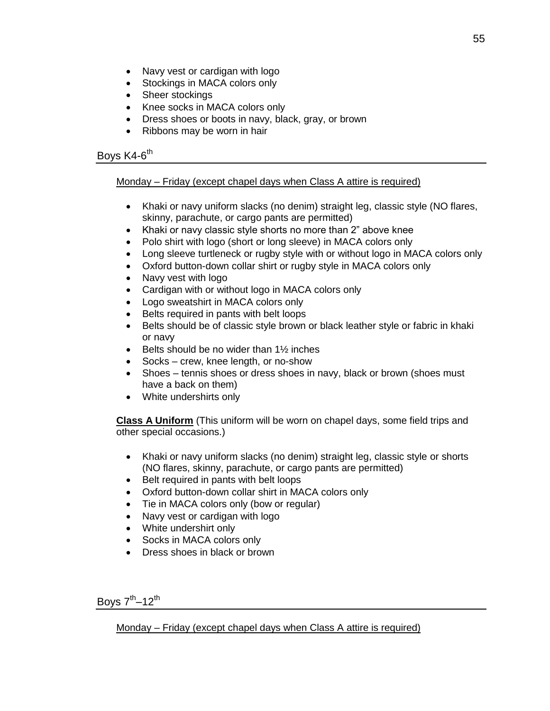- Navy vest or cardigan with logo
- Stockings in MACA colors only
- Sheer stockings
- Knee socks in MACA colors only
- Dress shoes or boots in navy, black, gray, or brown
- Ribbons may be worn in hair

### <span id="page-54-0"></span>Boys K4-6<sup>th</sup>

### Monday – Friday (except chapel days when Class A attire is required)

- Khaki or navy uniform slacks (no denim) straight leg, classic style (NO flares, skinny, parachute, or cargo pants are permitted)
- Khaki or navy classic style shorts no more than 2" above knee
- Polo shirt with logo (short or long sleeve) in MACA colors only
- Long sleeve turtleneck or rugby style with or without logo in MACA colors only
- Oxford button-down collar shirt or rugby style in MACA colors only
- Navy vest with logo
- Cardigan with or without logo in MACA colors only
- Logo sweatshirt in MACA colors only
- Belts required in pants with belt loops
- Belts should be of classic style brown or black leather style or fabric in khaki or navy
- $\bullet$  Belts should be no wider than 1½ inches
- Socks crew, knee length, or no-show
- Shoes tennis shoes or dress shoes in navy, black or brown (shoes must have a back on them)
- White undershirts only

**Class A Uniform** (This uniform will be worn on chapel days, some field trips and other special occasions.)

- Khaki or navy uniform slacks (no denim) straight leg, classic style or shorts (NO flares, skinny, parachute, or cargo pants are permitted)
- Belt required in pants with belt loops
- Oxford button-down collar shirt in MACA colors only
- Tie in MACA colors only (bow or regular)
- Navy vest or cardigan with logo
- White undershirt only
- Socks in MACA colors only
- Dress shoes in black or brown

<span id="page-54-1"></span>Boys 7<sup>th</sup>–12<sup>th</sup>

Monday – Friday (except chapel days when Class A attire is required)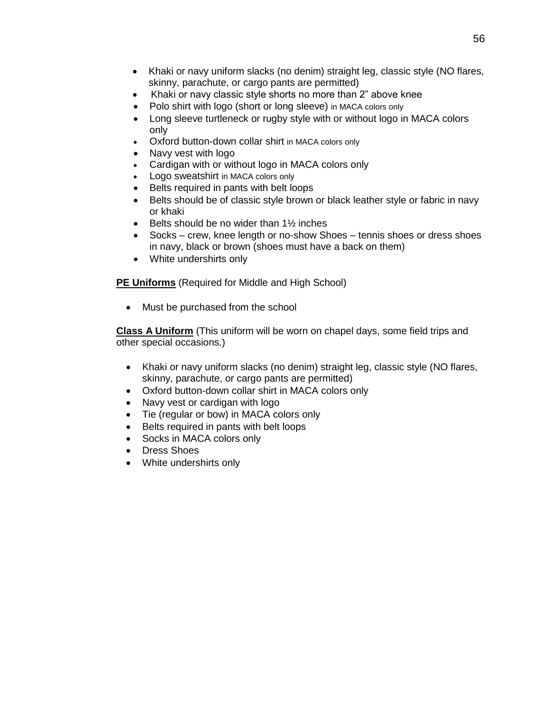- Khaki or navy uniform slacks (no denim) straight leg, classic style (NO flares, skinny, parachute, or cargo pants are permitted)
- Khaki or navy classic style shorts no more than 2" above knee
- Polo shirt with logo (short or long sleeve) in MACA colors only
- Long sleeve turtleneck or rugby style with or without logo in MACA colors only
- Oxford button-down collar shirt in MACA colors only
- Navy vest with logo
- Cardigan with or without logo in MACA colors only
- Logo sweatshirt in MACA colors only
- Belts required in pants with belt loops
- Belts should be of classic style brown or black leather style or fabric in navy or khaki
- $\bullet$  Belts should be no wider than 1½ inches
- Socks crew, knee length or no-show Shoes tennis shoes or dress shoes in navy, black or brown (shoes must have a back on them)
- White undershirts only

**PE Uniforms** (Required for Middle and High School)

• Must be purchased from the school

**Class A Uniform** (This uniform will be worn on chapel days, some field trips and other special occasions.)

- Khaki or navy uniform slacks (no denim) straight leg, classic style (NO flares, skinny, parachute, or cargo pants are permitted)
- Oxford button-down collar shirt in MACA colors only
- Navy vest or cardigan with logo
- Tie (regular or bow) in MACA colors only
- Belts required in pants with belt loops
- Socks in MACA colors only
- Dress Shoes
- White undershirts only